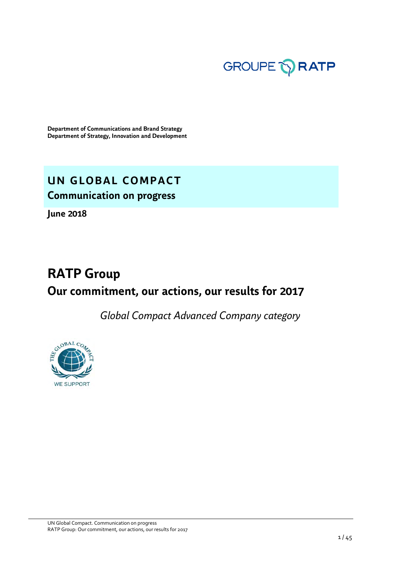

**Department of Communications and Brand Strategy Department of Strategy, Innovation and Development**

# **UN GLOBAL COMPACT Communication on progress**

**June 2018** 

# **RATP Group Our commitment, our actions, our results for 2017**

*Global Compact Advanced Company category* 

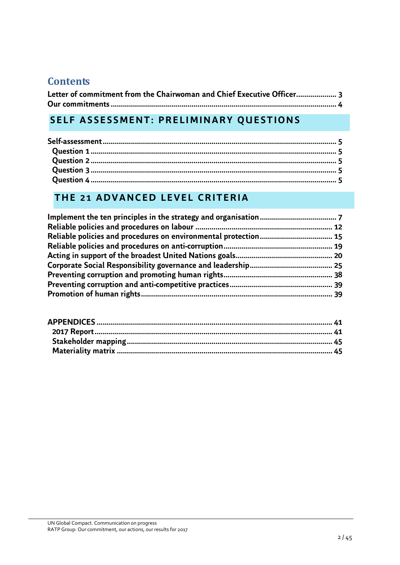# **Contents**

| Letter of commitment from the Chairwoman and Chief Executive Officer 3 |  |
|------------------------------------------------------------------------|--|
|                                                                        |  |

# **SELF ASSESSMENT: PRELIMINARY QUESTIONS**

# **THE 21 ADVANCED LEVEL CRITERIA**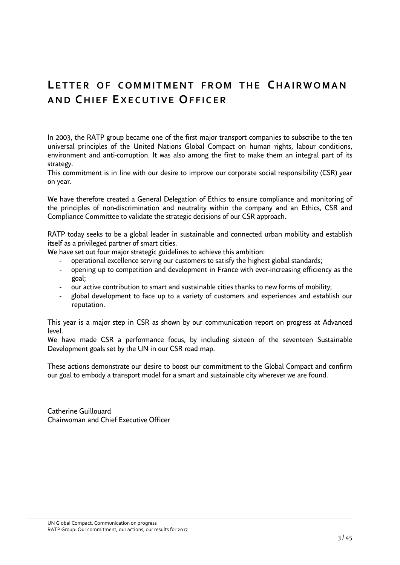# <span id="page-2-0"></span>**LETTER OF COMMITMENT FROM THE CHAIRWOMAN A N D CH I E F EX E C U T I V E OF F I C E R**

In 2003, the RATP group became one of the first major transport companies to subscribe to the ten universal principles of the United Nations Global Compact on human rights, labour conditions, environment and anti-corruption. It was also among the first to make them an integral part of its strategy.

This commitment is in line with our desire to improve our corporate social responsibility (CSR) year on year.

We have therefore created a General Delegation of Ethics to ensure compliance and monitoring of the principles of non-discrimination and neutrality within the company and an Ethics, CSR and Compliance Committee to validate the strategic decisions of our CSR approach.

RATP today seeks to be a global leader in sustainable and connected urban mobility and establish itself as a privileged partner of smart cities.

We have set out four major strategic guidelines to achieve this ambition:

- operational excellence serving our customers to satisfy the highest global standards;
- opening up to competition and development in France with ever-increasing efficiency as the goal;
- our active contribution to smart and sustainable cities thanks to new forms of mobility;
- global development to face up to a variety of customers and experiences and establish our reputation.

This year is a major step in CSR as shown by our communication report on progress at Advanced level.

We have made CSR a performance focus, by including sixteen of the seventeen Sustainable Development goals set by the UN in our CSR road map.

These actions demonstrate our desire to boost our commitment to the Global Compact and confirm our goal to embody a transport model for a smart and sustainable city wherever we are found.

Catherine Guillouard Chairwoman and Chief Executive Officer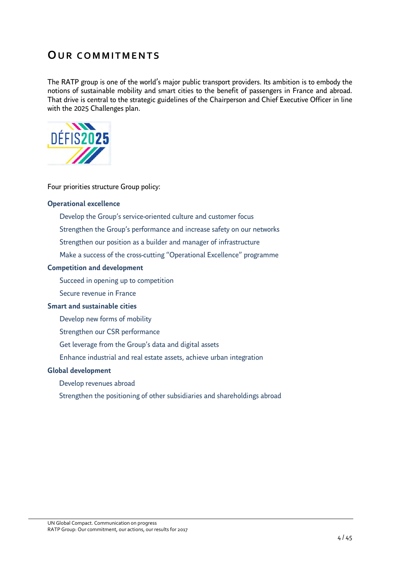# <span id="page-3-0"></span>**OUR COMMITMENTS**

The RATP group is one of the world's major public transport providers. Its ambition is to embody the notions of sustainable mobility and smart cities to the benefit of passengers in France and abroad. That drive is central to the strategic guidelines of the Chairperson and Chief Executive Officer in line with the 2025 Challenges plan.



#### Four priorities structure Group policy:

#### **Operational excellence**

- Develop the Group's service-oriented culture and customer focus
- Strengthen the Group's performance and increase safety on our networks
- Strengthen our position as a builder and manager of infrastructure
- Make a success of the cross-cutting "Operational Excellence" programme

#### **Competition and development**

- Succeed in opening up to competition
- Secure revenue in France

### **Smart and sustainable cities**

- Develop new forms of mobility
- Strengthen our CSR performance
- Get leverage from the Group's data and digital assets
- Enhance industrial and real estate assets, achieve urban integration

#### **Global development**

- Develop revenues abroad
- Strengthen the positioning of other subsidiaries and shareholdings abroad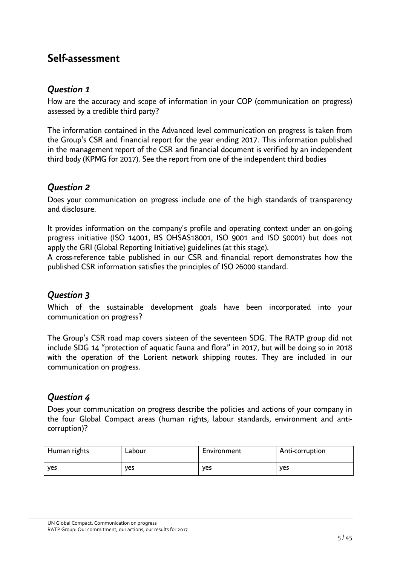# <span id="page-4-0"></span>**Self-assessment**

# <span id="page-4-1"></span>*Question 1*

How are the accuracy and scope of information in your COP (communication on progress) assessed by a credible third party?

The information contained in the Advanced level communication on progress is taken from the Group's CSR and financial report for the year ending 2017. This information published in the management report of the CSR and financial document is verified by an independent third body (KPMG for 2017). See the report from one of the independent third bodies

# <span id="page-4-2"></span>*Question 2*

Does your communication on progress include one of the high standards of transparency and disclosure.

It provides information on the company's profile and operating context under an on-going progress initiative (ISO 14001, BS OHSAS18001, ISO 9001 and ISO 50001) but does not apply the GRI (Global Reporting Initiative) guidelines (at this stage).

A cross-reference table published in our CSR and financial report demonstrates how the published CSR information satisfies the principles of ISO 26000 standard.

# <span id="page-4-3"></span>*Question 3*

Which of the sustainable development goals have been incorporated into your communication on progress?

The Group's CSR road map covers sixteen of the seventeen SDG. The RATP group did not include SDG 14 "protection of aquatic fauna and flora" in 2017, but will be doing so in 2018 with the operation of the Lorient network shipping routes. They are included in our communication on progress.

# <span id="page-4-4"></span>*Question 4*

Does your communication on progress describe the policies and actions of your company in the four Global Compact areas (human rights, labour standards, environment and anticorruption)?

| Human rights | Labour | Environment | Anti-corruption |
|--------------|--------|-------------|-----------------|
| ves          | ves    | ves         | ves             |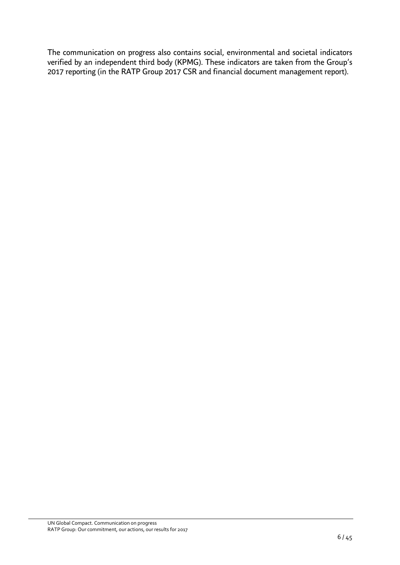The communication on progress also contains social, environmental and societal indicators verified by an independent third body (KPMG). These indicators are taken from the Group's 2017 reporting (in the RATP Group 2017 CSR and financial document management report).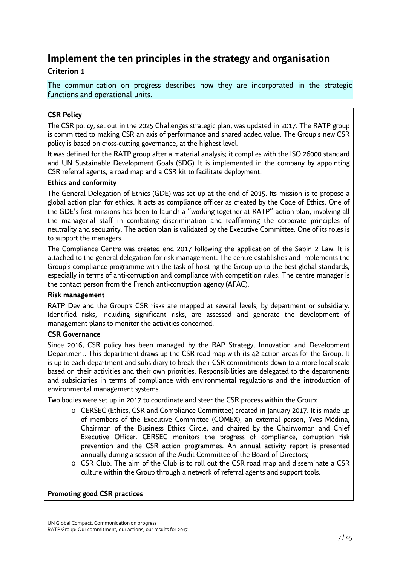# <span id="page-6-0"></span>**Implement the ten principles in the strategy and organisation**

### **Criterion 1**

The communication on progress describes how they are incorporated in the strategic functions and operational units.

### **CSR Policy**

The CSR policy, set out in the 2025 Challenges strategic plan, was updated in 2017. The RATP group is committed to making CSR an axis of performance and shared added value. The Group's new CSR policy is based on cross-cutting governance, at the highest level.

It was defined for the RATP group after a material analysis; it complies with the ISO 26000 standard and UN Sustainable Development Goals (SDG). It is implemented in the company by appointing CSR referral agents, a road map and a CSR kit to facilitate deployment.

### **Ethics and conformity**

The General Delegation of Ethics (GDE) was set up at the end of 2015. Its mission is to propose a global action plan for ethics. It acts as compliance officer as created by the Code of Ethics. One of the GDE's first missions has been to launch a "working together at RATP" action plan, involving all the managerial staff in combating discrimination and reaffirming the corporate principles of neutrality and secularity. The action plan is validated by the Executive Committee. One of its roles is to support the managers.

The Compliance Centre was created end 2017 following the application of the Sapin 2 Law. It is attached to the general delegation for risk management. The centre establishes and implements the Group's compliance programme with the task of hoisting the Group up to the best global standards, especially in terms of anti-corruption and compliance with competition rules. The centre manager is the contact person from the French anti-corruption agency (AFAC).

### **Risk management**

RATP Dev and the Group's CSR risks are mapped at several levels, by department or subsidiary. Identified risks, including significant risks, are assessed and generate the development of management plans to monitor the activities concerned.

### **CSR Governance**

Since 2016, CSR policy has been managed by the RAP Strategy, Innovation and Development Department. This department draws up the CSR road map with its 42 action areas for the Group. It is up to each department and subsidiary to break their CSR commitments down to a more local scale based on their activities and their own priorities. Responsibilities are delegated to the departments and subsidiaries in terms of compliance with environmental regulations and the introduction of environmental management systems.

Two bodies were set up in 2017 to coordinate and steer the CSR process within the Group:

- o CERSEC (Ethics, CSR and Compliance Committee) created in January 2017. It is made up of members of the Executive Committee (COMEX), an external person, Yves Médina, Chairman of the Business Ethics Circle, and chaired by the Chairwoman and Chief Executive Officer. CERSEC monitors the progress of compliance, corruption risk prevention and the CSR action programmes. An annual activity report is presented annually during a session of the Audit Committee of the Board of Directors;
- o CSR Club. The aim of the Club is to roll out the CSR road map and disseminate a CSR culture within the Group through a network of referral agents and support tools.

### **Promoting good CSR practices**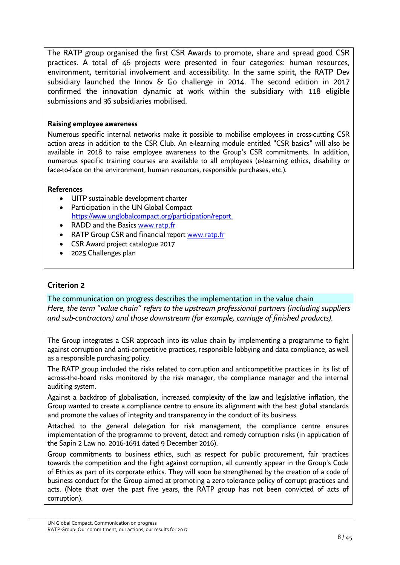The RATP group organised the first CSR Awards to promote, share and spread good CSR practices. A total of 46 projects were presented in four categories: human resources, environment, territorial involvement and accessibility. In the same spirit, the RATP Dev subsidiary launched the Innov & Go challenge in 2014. The second edition in 2017 confirmed the innovation dynamic at work within the subsidiary with 118 eligible submissions and 36 subsidiaries mobilised.

### **Raising employee awareness**

Numerous specific internal networks make it possible to mobilise employees in cross-cutting CSR action areas in addition to the CSR Club. An e-learning module entitled "CSR basics" will also be available in 2018 to raise employee awareness to the Group's CSR commitments. In addition, numerous specific training courses are available to all employees (e-learning ethics, disability or face-to-face on the environment, human resources, responsible purchases, etc.).

### **References**

- UITP sustainable development charter
- Participation in the UN Global Compact <https://www.unglobalcompact.org/participation/report.>
- RADD and the Basics www.ratp.fr
- RATP Group CSR and financial report www.ratp.fr
- CSR Award project catalogue 2017
- 2025 Challenges plan

### **Criterion 2**

### The communication on progress describes the implementation in the value chain

*Here, the term* "*value chain*" *refers to the upstream professional partners (including suppliers and sub-contractors) and those downstream (for example, carriage of finished products).* 

The Group integrates a CSR approach into its value chain by implementing a programme to fight against corruption and anti-competitive practices, responsible lobbying and data compliance, as well as a responsible purchasing policy.

The RATP group included the risks related to corruption and anticompetitive practices in its list of across-the-board risks monitored by the risk manager, the compliance manager and the internal auditing system.

Against a backdrop of globalisation, increased complexity of the law and legislative inflation, the Group wanted to create a compliance centre to ensure its alignment with the best global standards and promote the values of integrity and transparency in the conduct of its business.

Attached to the general delegation for risk management, the compliance centre ensures implementation of the programme to prevent, detect and remedy corruption risks (in application of the Sapin 2 Law no. 2016-1691 dated 9 December 2016).

Group commitments to business ethics, such as respect for public procurement, fair practices towards the competition and the fight against corruption, all currently appear in the Group's Code of Ethics as part of its corporate ethics. They will soon be strengthened by the creation of a code of business conduct for the Group aimed at promoting a zero tolerance policy of corrupt practices and acts. (Note that over the past five years, the RATP group has not been convicted of acts of corruption).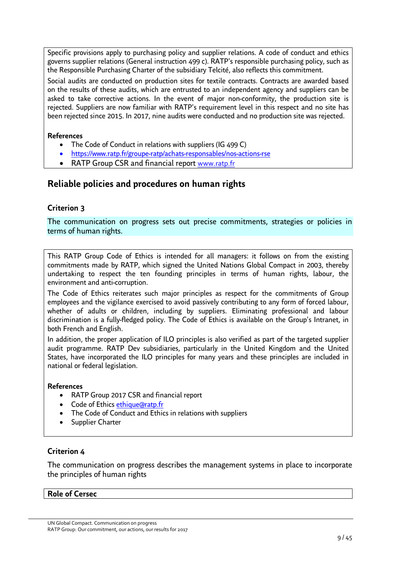Specific provisions apply to purchasing policy and supplier relations. A code of conduct and ethics governs supplier relations (General instruction 499 c). RATP's responsible purchasing policy, such as the Responsible Purchasing Charter of the subsidiary Telcité, also reflects this commitment.

Social audits are conducted on production sites for textile contracts. Contracts are awarded based on the results of these audits, which are entrusted to an independent agency and suppliers can be asked to take corrective actions. In the event of major non-conformity, the production site is rejected. Suppliers are now familiar with RATP's requirement level in this respect and no site has been rejected since 2015. In 2017, nine audits were conducted and no production site was rejected.

### **References**

- The Code of Conduct in relations with suppliers (IG 499 C)
- https://www.ratp.fr/groupe-ratp/achats-responsables/nos-actions-rse
- RATP Group CSR and financial report www.ratp.fr

### **Reliable policies and procedures on human rights**

### **Criterion 3**

The communication on progress sets out precise commitments, strategies or policies in terms of human rights.

This RATP Group Code of Ethics is intended for all managers: it follows on from the existing commitments made by RATP, which signed the United Nations Global Compact in 2003, thereby undertaking to respect the ten founding principles in terms of human rights, labour, the environment and anti-corruption.

The Code of Ethics reiterates such major principles as respect for the commitments of Group employees and the vigilance exercised to avoid passively contributing to any form of forced labour, whether of adults or children, including by suppliers. Eliminating professional and labour discrimination is a fully-fledged policy. The Code of Ethics is available on the Group's Intranet, in both French and English.

In addition, the proper application of ILO principles is also verified as part of the targeted supplier audit programme. RATP Dev subsidiaries, particularly in the United Kingdom and the United States, have incorporated the ILO principles for many years and these principles are included in national or federal legislation.

### **References**

- RATP Group 2017 CSR and financial report
- Code of Ethics [ethique@ratp.fr](mailto:ethique@ratp.fr)
- The Code of Conduct and Ethics in relations with suppliers
- Supplier Charter

### **Criterion 4**

The communication on progress describes the management systems in place to incorporate the principles of human rights

### **Role of Cersec**

UN Global Compact. Communication on progress RATP Group: Our commitment, our actions, our results for 2017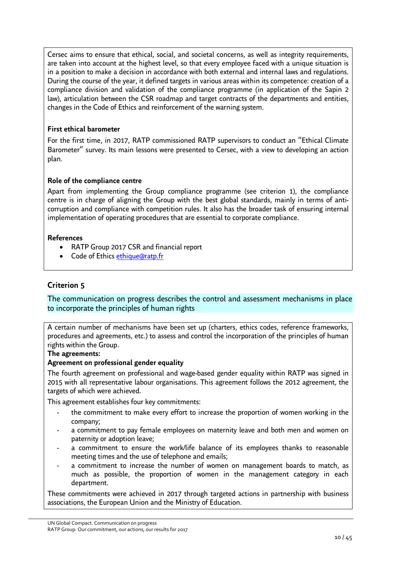Cersec aims to ensure that ethical, social, and societal concerns, as well as integrity requirements, are taken into account at the highest level, so that every employee faced with a unique situation is in a position to make a decision in accordance with both external and internal laws and regulations. During the course of the year, it defined targets in various areas within its competence: creation of a compliance division and validation of the compliance programme (in application of the Sapin 2 law), articulation between the CSR roadmap and target contracts of the departments and entities, changes in the Code of Ethics and reinforcement of the warning system.

### **First ethical barometer**

For the first time, in 2017, RATP commissioned RATP supervisors to conduct an "Ethical Climate Barometer" survey. Its main lessons were presented to Cersec, with a view to developing an action plan.

### **Role of the compliance centre**

Apart from implementing the Group compliance programme (see criterion 1), the compliance centre is in charge of aligning the Group with the best global standards, mainly in terms of anticorruption and compliance with competition rules. It also has the broader task of ensuring internal implementation of operating procedures that are essential to corporate compliance.

### **References**

- RATP Group 2017 CSR and financial report
- Code of Ethics [ethique@ratp.fr](mailto:ethique@ratp.fr)

### **Criterion 5**

The communication on progress describes the control and assessment mechanisms in place to incorporate the principles of human rights

A certain number of mechanisms have been set up (charters, ethics codes, reference frameworks, procedures and agreements, etc.) to assess and control the incorporation of the principles of human rights within the Group.

### **The agreements:**

### **Agreement on professional gender equality**

The fourth agreement on professional and wage-based gender equality within RATP was signed in 2015 with all representative labour organisations. This agreement follows the 2012 agreement, the targets of which were achieved.

This agreement establishes four key commitments:

- the commitment to make every effort to increase the proportion of women working in the company;
- a commitment to pay female employees on maternity leave and both men and women on paternity or adoption leave;
- a commitment to ensure the work/life balance of its employees thanks to reasonable meeting times and the use of telephone and emails;
- a commitment to increase the number of women on management boards to match, as much as possible, the proportion of women in the management category in each department.

These commitments were achieved in 2017 through targeted actions in partnership with business associations, the European Union and the Ministry of Education.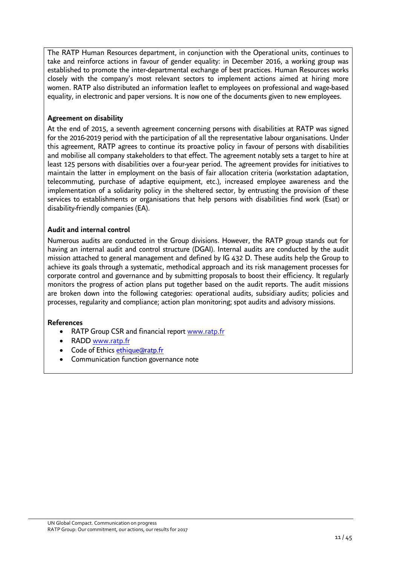The RATP Human Resources department, in conjunction with the Operational units, continues to take and reinforce actions in favour of gender equality: in December 2016, a working group was established to promote the inter-departmental exchange of best practices. Human Resources works closely with the company's most relevant sectors to implement actions aimed at hiring more women. RATP also distributed an information leaflet to employees on professional and wage-based equality, in electronic and paper versions. It is now one of the documents given to new employees.

### **Agreement on disability**

At the end of 2015, a seventh agreement concerning persons with disabilities at RATP was signed for the 2016-2019 period with the participation of all the representative labour organisations. Under this agreement, RATP agrees to continue its proactive policy in favour of persons with disabilities and mobilise all company stakeholders to that effect. The agreement notably sets a target to hire at least 125 persons with disabilities over a four-year period. The agreement provides for initiatives to maintain the latter in employment on the basis of fair allocation criteria (workstation adaptation, telecommuting, purchase of adaptive equipment, etc.), increased employee awareness and the implementation of a solidarity policy in the sheltered sector, by entrusting the provision of these services to establishments or organisations that help persons with disabilities find work (Esat) or disability-friendly companies (EA).

### **Audit and internal control**

Numerous audits are conducted in the Group divisions. However, the RATP group stands out for having an internal audit and control structure (DGAI). Internal audits are conducted by the audit mission attached to general management and defined by IG 432 D. These audits help the Group to achieve its goals through a systematic, methodical approach and its risk management processes for corporate control and governance and by submitting proposals to boost their efficiency. It regularly monitors the progress of action plans put together based on the audit reports. The audit missions are broken down into the following categories: operational audits, subsidiary audits; policies and processes, regularity and compliance; action plan monitoring; spot audits and advisory missions.

### **References**

- RATP Group CSR and financial report www.ratp.fr
- RADD www.ratp.fr
- Code of Ethics [ethique@ratp.fr](mailto:ethique@ratp.fr)
- Communication function governance note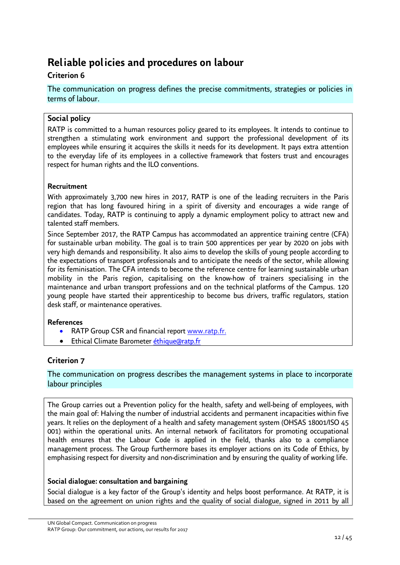# <span id="page-11-0"></span>**Reliable policies and procedures on labour**

### **Criterion 6**

The communication on progress defines the precise commitments, strategies or policies in terms of labour.

### **Social policy**

RATP is committed to a human resources policy geared to its employees. It intends to continue to strengthen a stimulating work environment and support the professional development of its employees while ensuring it acquires the skills it needs for its development. It pays extra attention to the everyday life of its employees in a collective framework that fosters trust and encourages respect for human rights and the ILO conventions.

### **Recruitment**

With approximately 3,700 new hires in 2017, RATP is one of the leading recruiters in the Paris region that has long favoured hiring in a spirit of diversity and encourages a wide range of candidates. Today, RATP is continuing to apply a dynamic employment policy to attract new and talented staff members.

Since September 2017, the RATP Campus has accommodated an apprentice training centre (CFA) for sustainable urban mobility. The goal is to train 500 apprentices per year by 2020 on jobs with very high demands and responsibility. It also aims to develop the skills of young people according to the expectations of transport professionals and to anticipate the needs of the sector, while allowing for its feminisation. The CFA intends to become the reference centre for learning sustainable urban mobility in the Paris region, capitalising on the know-how of trainers specialising in the maintenance and urban transport professions and on the technical platforms of the Campus. 120 young people have started their apprenticeship to become bus drivers, traffic regulators, station desk staff, or maintenance operatives.

### **References**

- RATP Group CSR and financial report [www.ratp.fr](http://www.ratp.fr/).
- Ethical Climate Barometer [éthique@ratp.fr](mailto:�thique@ratp.fr)

### **Criterion 7**

### The communication on progress describes the management systems in place to incorporate labour principles

The Group carries out a Prevention policy for the health, safety and well-being of employees, with the main goal of: Halving the number of industrial accidents and permanent incapacities within five years. It relies on the deployment of a health and safety management system (OHSAS 18001/ISO 45 001) within the operational units. An internal network of facilitators for promoting occupational health ensures that the Labour Code is applied in the field, thanks also to a compliance management process. The Group furthermore bases its employer actions on its Code of Ethics, by emphasising respect for diversity and non-discrimination and by ensuring the quality of working life.

### **Social dialogue: consultation and bargaining**

Social dialogue is a key factor of the Group's identity and helps boost performance. At RATP, it is based on the agreement on union rights and the quality of social dialogue, signed in 2011 by all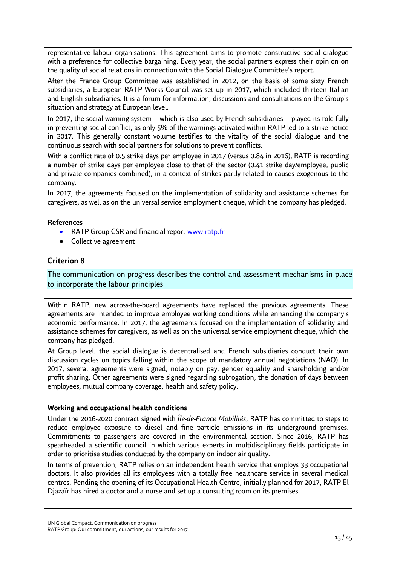representative labour organisations. This agreement aims to promote constructive social dialogue with a preference for collective bargaining. Every year, the social partners express their opinion on the quality of social relations in connection with the Social Dialogue Committee's report.

After the France Group Committee was established in 2012, on the basis of some sixty French subsidiaries, a European RATP Works Council was set up in 2017, which included thirteen Italian and English subsidiaries. It is a forum for information, discussions and consultations on the Group's situation and strategy at European level.

In 2017, the social warning system – which is also used by French subsidiaries – played its role fully in preventing social conflict, as only 5% of the warnings activated within RATP led to a strike notice in 2017. This generally constant volume testifies to the vitality of the social dialogue and the continuous search with social partners for solutions to prevent conflicts.

With a conflict rate of 0.5 strike days per employee in 2017 (versus 0.84 in 2016), RATP is recording a number of strike days per employee close to that of the sector (0.41 strike day/employee, public and private companies combined), in a context of strikes partly related to causes exogenous to the company.

In 2017, the agreements focused on the implementation of solidarity and assistance schemes for caregivers, as well as on the universal service employment cheque, which the company has pledged.

### **References**

- RATP Group CSR and financial report [www.ratp.fr](http://www.ratp.fr/)
- Collective agreement

### **Criterion 8**

The communication on progress describes the control and assessment mechanisms in place to incorporate the labour principles

Within RATP, new across-the-board agreements have replaced the previous agreements. These agreements are intended to improve employee working conditions while enhancing the company's economic performance. In 2017, the agreements focused on the implementation of solidarity and assistance schemes for caregivers, as well as on the universal service employment cheque, which the company has pledged.

At Group level, the social dialogue is decentralised and French subsidiaries conduct their own discussion cycles on topics falling within the scope of mandatory annual negotiations (NAO). In 2017, several agreements were signed, notably on pay, gender equality and shareholding and/or profit sharing. Other agreements were signed regarding subrogation, the donation of days between employees, mutual company coverage, health and safety policy.

### **Working and occupational health conditions**

Under the 2016-2020 contract signed with *Île-de-France Mobilités*, RATP has committed to steps to reduce employee exposure to diesel and fine particle emissions in its underground premises. Commitments to passengers are covered in the environmental section. Since 2016, RATP has spearheaded a scientific council in which various experts in multidisciplinary fields participate in order to prioritise studies conducted by the company on indoor air quality.

In terms of prevention, RATP relies on an independent health service that employs 33 occupational doctors. It also provides all its employees with a totally free healthcare service in several medical centres. Pending the opening of its Occupational Health Centre, initially planned for 2017, RATP El Djazaïr has hired a doctor and a nurse and set up a consulting room on its premises.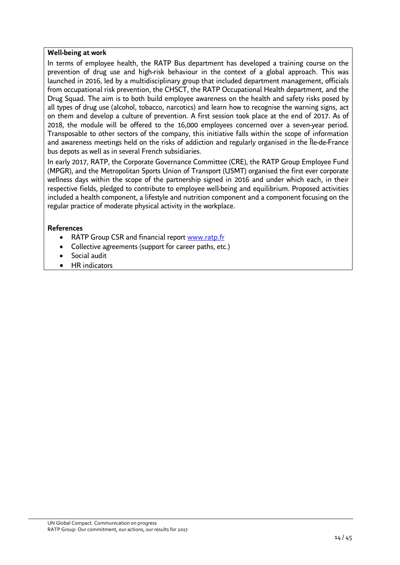### **Well-being at work**

In terms of employee health, the RATP Bus department has developed a training course on the prevention of drug use and high-risk behaviour in the context of a global approach. This was launched in 2016, led by a multidisciplinary group that included department management, officials from occupational risk prevention, the CHSCT, the RATP Occupational Health department, and the Drug Squad. The aim is to both build employee awareness on the health and safety risks posed by all types of drug use (alcohol, tobacco, narcotics) and learn how to recognise the warning signs, act on them and develop a culture of prevention. A first session took place at the end of 2017. As of 2018, the module will be offered to the 16,000 employees concerned over a seven-year period. Transposable to other sectors of the company, this initiative falls within the scope of information and awareness meetings held on the risks of addiction and regularly organised in the Île-de-France bus depots as well as in several French subsidiaries.

In early 2017, RATP, the Corporate Governance Committee (CRE), the RATP Group Employee Fund (MPGR), and the Metropolitan Sports Union of Transport (USMT) organised the first ever corporate wellness days within the scope of the partnership signed in 2016 and under which each, in their respective fields, pledged to contribute to employee well-being and equilibrium. Proposed activities included a health component, a lifestyle and nutrition component and a component focusing on the regular practice of moderate physical activity in the workplace.

### **References**

- RATP Group CSR and financial report www.ratp.fr
- Collective agreements (support for career paths, etc.)
- Social audit
- HR indicators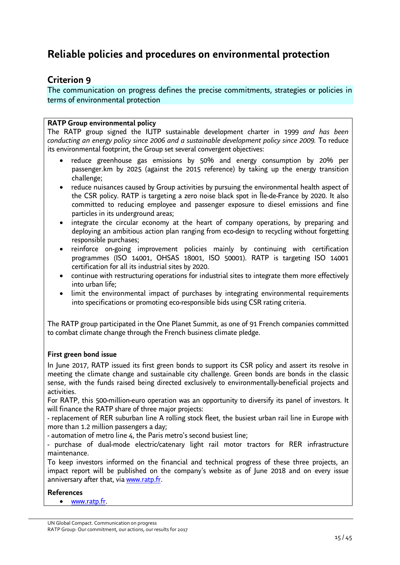# <span id="page-14-0"></span>**Reliable policies and procedures on environmental protection**

### **Criterion 9**

The communication on progress defines the precise commitments, strategies or policies in terms of environmental protection

### **RATP Group environmental policy**

The RATP group signed the IUTP sustainable development charter in 1999 *and has been conducting an energy policy since 2006 and a sustainable development policy since 2009.* To reduce its environmental footprint, the Group set several convergent objectives:

- reduce greenhouse gas emissions by 50% and energy consumption by 20% per passenger.km by 2025 (against the 2015 reference) by taking up the energy transition challenge;
- reduce nuisances caused by Group activities by pursuing the environmental health aspect of the CSR policy. RATP is targeting a zero noise black spot in Île-de-France by 2020. It also committed to reducing employee and passenger exposure to diesel emissions and fine particles in its underground areas;
- integrate the circular economy at the heart of company operations, by preparing and deploying an ambitious action plan ranging from eco-design to recycling without forgetting responsible purchases;
- reinforce on-going improvement policies mainly by continuing with certification programmes (ISO 14001, OHSAS 18001, ISO 50001). RATP is targeting ISO 14001 certification for all its industrial sites by 2020.
- continue with restructuring operations for industrial sites to integrate them more effectively into urban life;
- limit the environmental impact of purchases by integrating environmental requirements into specifications or promoting eco-responsible bids using CSR rating criteria.

The RATP group participated in the One Planet Summit, as one of 91 French companies committed to combat climate change through the French business climate pledge.

### **First green bond issue**

In June 2017, RATP issued its first green bonds to support its CSR policy and assert its resolve in meeting the climate change and sustainable city challenge. Green bonds are bonds in the classic sense, with the funds raised being directed exclusively to environmentally-beneficial projects and activities.

For RATP, this 500-million-euro operation was an opportunity to diversify its panel of investors. It will finance the RATP share of three major projects:

- replacement of RER suburban line A rolling stock fleet, the busiest urban rail line in Europe with more than 1.2 million passengers a day;

- automation of metro line 4, the Paris metro's second busiest line;

- purchase of dual-mode electric/catenary light rail motor tractors for RER infrastructure maintenance.

To keep investors informed on the financial and technical progress of these three projects, an impact report will be published on the company's website as of June 2018 and on every issue anniversary after that, via [www.ratp.fr](http://www.ratp.fr/).

### **References**

• [www.ratp.fr](http://www.ratp.fr/).

UN Global Compact. Communication on progress RATP Group: Our commitment, our actions, our results for 2017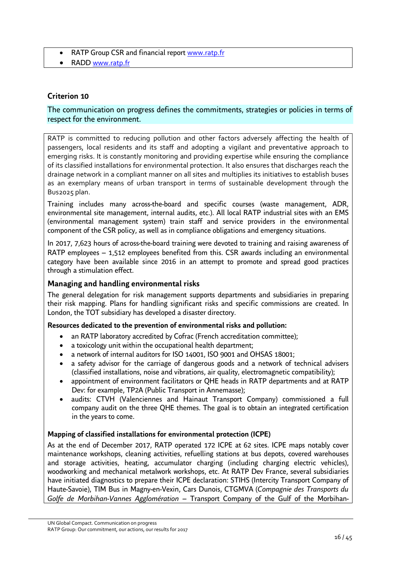- RATP Group CSR and financial report www.ratp.fr
- RADD www.ratp.fr

### **Criterion 10**

### The communication on progress defines the commitments, strategies or policies in terms of respect for the environment.

RATP is committed to reducing pollution and other factors adversely affecting the health of passengers, local residents and its staff and adopting a vigilant and preventative approach to emerging risks. It is constantly monitoring and providing expertise while ensuring the compliance of its classified installations for environmental protection. It also ensures that discharges reach the drainage network in a compliant manner on all sites and multiplies its initiatives to establish buses as an exemplary means of urban transport in terms of sustainable development through the Bus2025 plan.

Training includes many across-the-board and specific courses (waste management, ADR, environmental site management, internal audits, etc.). All local RATP industrial sites with an EMS (environmental management system) train staff and service providers in the environmental component of the CSR policy, as well as in compliance obligations and emergency situations.

In 2017, 7,623 hours of across-the-board training were devoted to training and raising awareness of RATP employees – 1,512 employees benefited from this. CSR awards including an environmental category have been available since 2016 in an attempt to promote and spread good practices through a stimulation effect.

### **Managing and handling environmental risks**

The general delegation for risk management supports departments and subsidiaries in preparing their risk mapping. Plans for handling significant risks and specific commissions are created. In London, the TOT subsidiary has developed a disaster directory.

### **Resources dedicated to the prevention of environmental risks and pollution:**

- an RATP laboratory accredited by Cofrac (French accreditation committee);
- a toxicology unit within the occupational health department;
- a network of internal auditors for ISO 14001, ISO 9001 and OHSAS 18001;
- a safety advisor for the carriage of dangerous goods and a network of technical advisers (classified installations, noise and vibrations, air quality, electromagnetic compatibility);
- appointment of environment facilitators or QHE heads in RATP departments and at RATP Dev: for example, TP2A (Public Transport in Annemasse);
- audits: CTVH (Valenciennes and Hainaut Transport Company) commissioned a full company audit on the three QHE themes. The goal is to obtain an integrated certification in the years to come.

### **Mapping of classified installations for environmental protection (ICPE)**

As at the end of December 2017, RATP operated 172 ICPE at 62 sites. ICPE maps notably cover maintenance workshops, cleaning activities, refuelling stations at bus depots, covered warehouses and storage activities, heating, accumulator charging (including charging electric vehicles), woodworking and mechanical metalwork workshops, etc. At RATP Dev France, several subsidiaries have initiated diagnostics to prepare their ICPE declaration: STIHS (Intercity Transport Company of Haute-Savoie), TIM Bus in Magny-en-Vexin, Cars Dunois, CTGMVA (*Compagnie des Transports du Golfe de Morbihan-Vannes Agglomération* – Transport Company of the Gulf of the Morbihan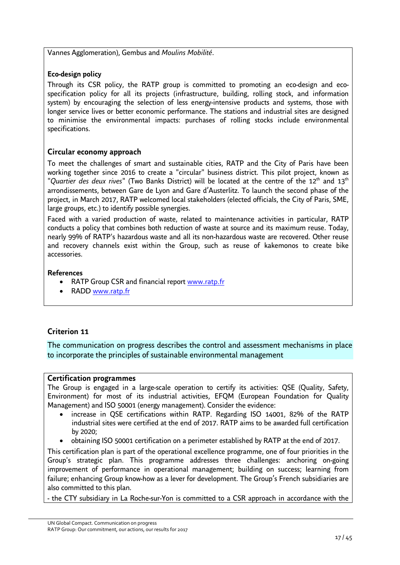Vannes Agglomeration), Gembus and *Moulins Mobilité*.

### **Eco-design policy**

Through its CSR policy, the RATP group is committed to promoting an eco-design and ecospecification policy for all its projects (infrastructure, building, rolling stock, and information system) by encouraging the selection of less energy-intensive products and systems, those with longer service lives or better economic performance. The stations and industrial sites are designed to minimise the environmental impacts: purchases of rolling stocks include environmental specifications.

### **Circular economy approach**

To meet the challenges of smart and sustainable cities, RATP and the City of Paris have been working together since 2016 to create a "circular" business district. This pilot project, known as "Quartier des deux rives" (Two Banks District) will be located at the centre of the 12<sup>th</sup> and 13<sup>th</sup> arrondissements, between Gare de Lyon and Gare d'Austerlitz. To launch the second phase of the project, in March 2017, RATP welcomed local stakeholders (elected officials, the City of Paris, SME, large groups, etc.) to identify possible synergies.

Faced with a varied production of waste, related to maintenance activities in particular, RATP conducts a policy that combines both reduction of waste at source and its maximum reuse. Today, nearly 99% of RATP's hazardous waste and all its non-hazardous waste are recovered. Other reuse and recovery channels exist within the Group, such as reuse of kakemonos to create bike accessories.

### **References**

- RATP Group CSR and financial report www.ratp.fr
- RADD www.ratp.fr

### **Criterion 11**

The communication on progress describes the control and assessment mechanisms in place to incorporate the principles of sustainable environmental management

### **Certification programmes**

The Group is engaged in a large-scale operation to certify its activities: QSE (Quality, Safety, Environment) for most of its industrial activities, EFQM (European Foundation for Quality Management) and ISO 50001 (energy management). Consider the evidence:

- increase in QSE certifications within RATP. Regarding ISO 14001, 82% of the RATP industrial sites were certified at the end of 2017. RATP aims to be awarded full certification by 2020;
- obtaining ISO 50001 certification on a perimeter established by RATP at the end of 2017.

This certification plan is part of the operational excellence programme, one of four priorities in the Group's strategic plan. This programme addresses three challenges: anchoring on-going improvement of performance in operational management; building on success; learning from failure; enhancing Group know-how as a lever for development. The Group's French subsidiaries are also committed to this plan.

- the CTY subsidiary in La Roche-sur-Yon is committed to a CSR approach in accordance with the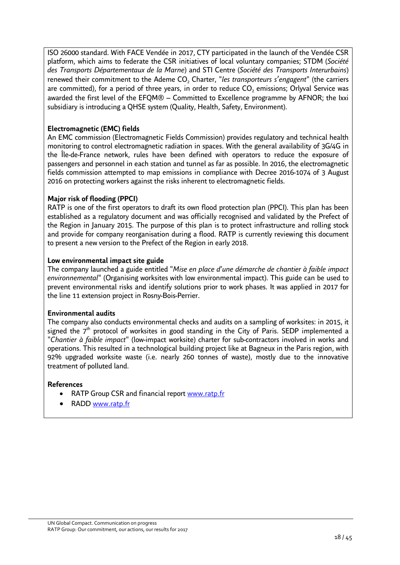ISO 26000 standard. With FACE Vendée in 2017, CTY participated in the launch of the Vendée CSR platform, which aims to federate the CSR initiatives of local voluntary companies; STDM (*Société des Transports Départementaux de la Marne*) and STI Centre (*Société des Transports Interurbains*) renewed their commitment to the Ademe CO<sub>2</sub> Charter, "*les transporteurs s'engagent*" (the carriers are committed), for a period of three years, in order to reduce  $\mathsf{CO}_2$  emissions; Orlyval Service was awarded the first level of the EFQM® – Committed to Excellence programme by AFNOR; the Ixxi subsidiary is introducing a QHSE system (Quality, Health, Safety, Environment).

### **Electromagnetic (EMC) fields**

An EMC commission (Electromagnetic Fields Commission) provides regulatory and technical health monitoring to control electromagnetic radiation in spaces. With the general availability of 3G/4G in the Île-de-France network, rules have been defined with operators to reduce the exposure of passengers and personnel in each station and tunnel as far as possible. In 2016, the electromagnetic fields commission attempted to map emissions in compliance with Decree 2016-1074 of 3 August 2016 on protecting workers against the risks inherent to electromagnetic fields.

### **Major risk of flooding (PPCI)**

RATP is one of the first operators to draft its own flood protection plan (PPCI). This plan has been established as a regulatory document and was officially recognised and validated by the Prefect of the Region in January 2015. The purpose of this plan is to protect infrastructure and rolling stock and provide for company reorganisation during a flood. RATP is currently reviewing this document to present a new version to the Prefect of the Region in early 2018.

### **Low environmental impact site guide**

The company launched a guide entitled "*Mise en place d*'*une démarche de chantier à faible impact environnemental*" (Organising worksites with low environmental impact). This guide can be used to prevent environmental risks and identify solutions prior to work phases. It was applied in 2017 for the line 11 extension project in Rosny-Bois-Perrier.

### **Environmental audits**

The company also conducts environmental checks and audits on a sampling of worksites: in 2015, it signed the  $7<sup>th</sup>$  protocol of worksites in good standing in the City of Paris. SEDP implemented a "*Chantier à faible impact*" (low-impact worksite) charter for sub-contractors involved in works and operations. This resulted in a technological building project like at Bagneux in the Paris region, with 92% upgraded worksite waste (i.e. nearly 260 tonnes of waste), mostly due to the innovative treatment of polluted land.

### **References**

- RATP Group CSR and financial report [www.ratp.fr](http://www.ratp.fr/)
- RADD www.ratp.fr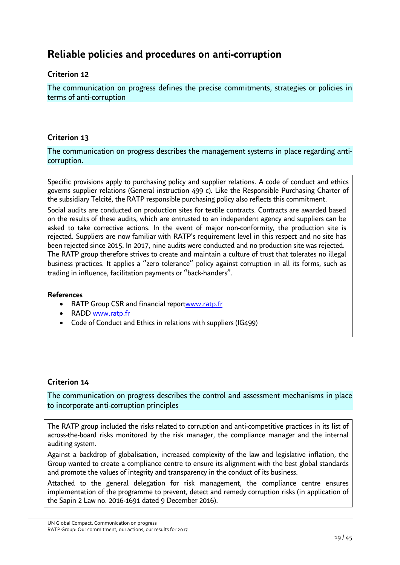# <span id="page-18-0"></span>**Reliable policies and procedures on anti-corruption**

### **Criterion 12**

The communication on progress defines the precise commitments, strategies or policies in terms of anti-corruption

### **Criterion 13**

The communication on progress describes the management systems in place regarding anticorruption.

Specific provisions apply to purchasing policy and supplier relations. A code of conduct and ethics governs supplier relations (General instruction 499 c). Like the Responsible Purchasing Charter of the subsidiary Telcité, the RATP responsible purchasing policy also reflects this commitment.

Social audits are conducted on production sites for textile contracts. Contracts are awarded based on the results of these audits, which are entrusted to an independent agency and suppliers can be asked to take corrective actions. In the event of major non-conformity, the production site is rejected. Suppliers are now familiar with RATP's requirement level in this respect and no site has been rejected since 2015. In 2017, nine audits were conducted and no production site was rejected. The RATP group therefore strives to create and maintain a culture of trust that tolerates no illegal business practices. It applies a "zero tolerance" policy against corruption in all its forms, such as trading in influence, facilitation payments or "back-handers".

### **References**

- RATP Group CSR and financial reportwww.ratp.fr
- RADD www.ratp.fr
- Code of Conduct and Ethics in relations with suppliers (IG499)

### **Criterion 14**

The communication on progress describes the control and assessment mechanisms in place to incorporate anti-corruption principles

The RATP group included the risks related to corruption and anti-competitive practices in its list of across-the-board risks monitored by the risk manager, the compliance manager and the internal auditing system.

Against a backdrop of globalisation, increased complexity of the law and legislative inflation, the Group wanted to create a compliance centre to ensure its alignment with the best global standards and promote the values of integrity and transparency in the conduct of its business.

Attached to the general delegation for risk management, the compliance centre ensures implementation of the programme to prevent, detect and remedy corruption risks (in application of the Sapin 2 Law no. 2016-1691 dated 9 December 2016).

UN Global Compact. Communication on progress RATP Group: Our commitment, our actions, our results for 2017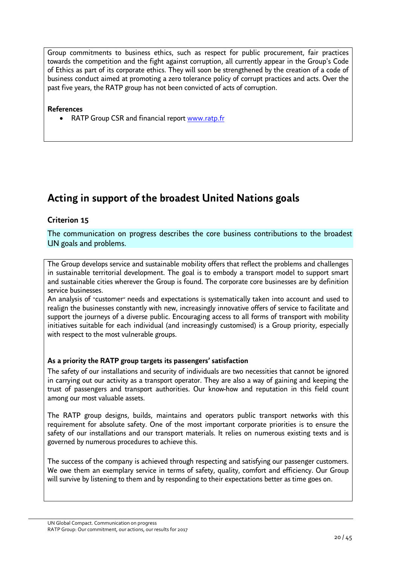Group commitments to business ethics, such as respect for public procurement, fair practices towards the competition and the fight against corruption, all currently appear in the Group's Code of Ethics as part of its corporate ethics. They will soon be strengthened by the creation of a code of business conduct aimed at promoting a zero tolerance policy of corrupt practices and acts. Over the past five years, the RATP group has not been convicted of acts of corruption.

**References** 

• RATP Group CSR and financial report www.ratp.fr

# <span id="page-19-0"></span>**Acting in support of the broadest United Nations goals**

### **Criterion 15**

The communication on progress describes the core business contributions to the broadest UN goals and problems.

The Group develops service and sustainable mobility offers that reflect the problems and challenges in sustainable territorial development. The goal is to embody a transport model to support smart and sustainable cities wherever the Group is found. The corporate core businesses are by definition service businesses.

An analysis of "customer" needs and expectations is systematically taken into account and used to realign the businesses constantly with new, increasingly innovative offers of service to facilitate and support the journeys of a diverse public. Encouraging access to all forms of transport with mobility initiatives suitable for each individual (and increasingly customised) is a Group priority, especially with respect to the most vulnerable groups.

### **As a priority the RATP group targets its passengers' satisfaction**

The safety of our installations and security of individuals are two necessities that cannot be ignored in carrying out our activity as a transport operator. They are also a way of gaining and keeping the trust of passengers and transport authorities. Our know-how and reputation in this field count among our most valuable assets.

The RATP group designs, builds, maintains and operators public transport networks with this requirement for absolute safety. One of the most important corporate priorities is to ensure the safety of our installations and our transport materials. It relies on numerous existing texts and is governed by numerous procedures to achieve this.

The success of the company is achieved through respecting and satisfying our passenger customers. We owe them an exemplary service in terms of safety, quality, comfort and efficiency. Our Group will survive by listening to them and by responding to their expectations better as time goes on.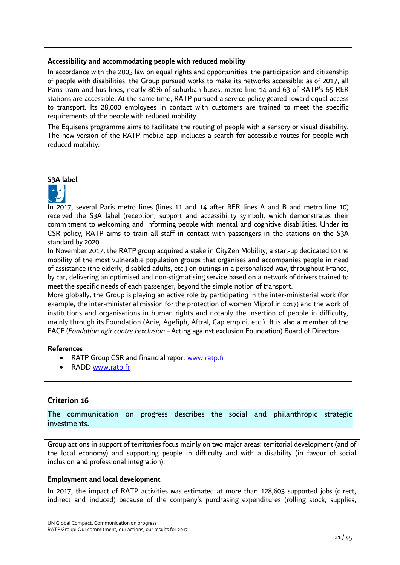### **Accessibility and accommodating people with reduced mobility**

In accordance with the 2005 law on equal rights and opportunities, the participation and citizenship of people with disabilities, the Group pursued works to make its networks accessible: as of 2017, all Paris tram and bus lines, nearly 80% of suburban buses, metro line 14 and 63 of RATP's 65 RER stations are accessible. At the same time, RATP pursued a service policy geared toward equal access to transport. Its 28,000 employees in contact with customers are trained to meet the specific requirements of the people with reduced mobility.

The Equisens programme aims to facilitate the routing of people with a sensory or visual disability. The new version of the RATP mobile app includes a search for accessible routes for people with reduced mobility.

**S3A label** 



In 2017, several Paris metro lines (lines 11 and 14 after RER lines A and B and metro line 10) received the S3A label (reception, support and accessibility symbol), which demonstrates their commitment to welcoming and informing people with mental and cognitive disabilities. Under its CSR policy, RATP aims to train all staff in contact with passengers in the stations on the S3A standard by 2020.

In November 2017, the RATP group acquired a stake in CityZen Mobility, a start-up dedicated to the mobility of the most vulnerable population groups that organises and accompanies people in need of assistance (the elderly, disabled adults, etc.) on outings in a personalised way, throughout France, by car, delivering an optimised and non-stigmatising service based on a network of drivers trained to meet the specific needs of each passenger, beyond the simple notion of transport.

More globally, the Group is playing an active role by participating in the inter-ministerial work (for example, the inter-ministerial mission for the protection of women Miprof in 2017) and the work of institutions and organisations in human rights and notably the insertion of people in difficulty, mainly through its Foundation (Adie, Agefiph, Aftral, Cap emploi, etc.). It is also a member of the FACE (*Fondation agir contre l'exclusion* – Acting against exclusion Foundation) Board of Directors.

### **References**

- RATP Group CSR and financial report www.ratp.fr
- RADD www.ratp.fr

### **Criterion 16**

The communication on progress describes the social and philanthropic strategic investments.

Group actions in support of territories focus mainly on two major areas: territorial development (and of the local economy) and supporting people in difficulty and with a disability (in favour of social inclusion and professional integration).

### **Employment and local development**

In 2017, the impact of RATP activities was estimated at more than 128,603 supported jobs (direct, indirect and induced) because of the company's purchasing expenditures (rolling stock, supplies,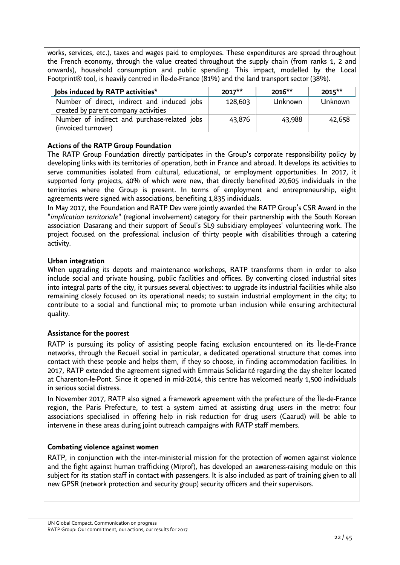works, services, etc.), taxes and wages paid to employees. These expenditures are spread throughout the French economy, through the value created throughout the supply chain (from ranks 1, 2 and onwards), household consumption and public spending. This impact, modelled by the Local Footprint® tool, is heavily centred in Île-de-France (81%) and the land transport sector (38%).

| Jobs induced by RATP activities*                                                    | $2017**$ | $2016**$ | 2015**  |
|-------------------------------------------------------------------------------------|----------|----------|---------|
| Number of direct, indirect and induced jobs<br>created by parent company activities | 128,603  | Unknown  | Unknown |
| Number of indirect and purchase-related jobs<br>(invoiced turnover)                 | 43,876   | 43,988   | 42,658  |

### **Actions of the RATP Group Foundation**

The RATP Group Foundation directly participates in the Group's corporate responsibility policy by developing links with its territories of operation, both in France and abroad. It develops its activities to serve communities isolated from cultural, educational, or employment opportunities. In 2017, it supported forty projects, 40% of which were new, that directly benefited 20,605 individuals in the territories where the Group is present. In terms of employment and entrepreneurship, eight agreements were signed with associations, benefiting 1,835 individuals.

In May 2017, the Foundation and RATP Dev were jointly awarded the RATP Group's CSR Award in the "*implication territoriale*" (regional involvement) category for their partnership with the South Korean association Dasarang and their support of Seoul's SL9 subsidiary employees' volunteering work. The project focused on the professional inclusion of thirty people with disabilities through a catering activity.

### **Urban integration**

When upgrading its depots and maintenance workshops, RATP transforms them in order to also include social and private housing, public facilities and offices. By converting closed industrial sites into integral parts of the city, it pursues several objectives: to upgrade its industrial facilities while also remaining closely focused on its operational needs; to sustain industrial employment in the city; to contribute to a social and functional mix; to promote urban inclusion while ensuring architectural quality.

### **Assistance for the poorest**

RATP is pursuing its policy of assisting people facing exclusion encountered on its Île-de-France networks, through the Recueil social in particular, a dedicated operational structure that comes into contact with these people and helps them, if they so choose, in finding accommodation facilities. In 2017, RATP extended the agreement signed with Emmaüs Solidarité regarding the day shelter located at Charenton-le-Pont. Since it opened in mid-2014, this centre has welcomed nearly 1,500 individuals in serious social distress.

In November 2017, RATP also signed a framework agreement with the prefecture of the Île-de-France region, the Paris Prefecture, to test a system aimed at assisting drug users in the metro: four associations specialised in offering help in risk reduction for drug users (Caarud) will be able to intervene in these areas during joint outreach campaigns with RATP staff members.

### **Combating violence against women**

RATP, in conjunction with the inter-ministerial mission for the protection of women against violence and the fight against human trafficking (Miprof), has developed an awareness-raising module on this subject for its station staff in contact with passengers. It is also included as part of training given to all new GPSR (network protection and security group) security officers and their supervisors.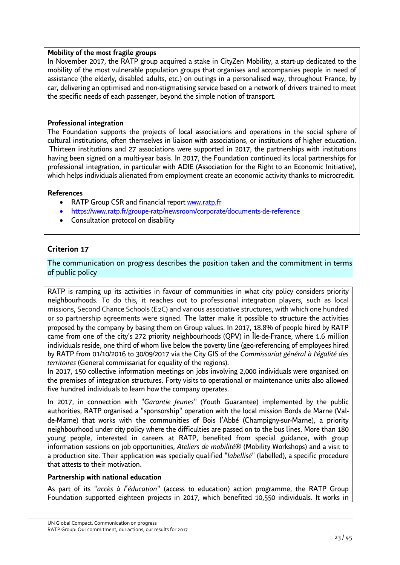### **Mobility of the most fragile groups**

In November 2017, the RATP group acquired a stake in CityZen Mobility, a start-up dedicated to the mobility of the most vulnerable population groups that organises and accompanies people in need of assistance (the elderly, disabled adults, etc.) on outings in a personalised way, throughout France, by car, delivering an optimised and non-stigmatising service based on a network of drivers trained to meet the specific needs of each passenger, beyond the simple notion of transport.

### **Professional integration**

The Foundation supports the projects of local associations and operations in the social sphere of cultural institutions, often themselves in liaison with associations, or institutions of higher education. Thirteen institutions and 27 associations were supported in 2017, the partnerships with institutions having been signed on a multi-year basis. In 2017, the Foundation continued its local partnerships for professional integration, in particular with ADIE (Association for the Right to an Economic Initiative), which helps individuals alienated from employment create an economic activity thanks to microcredit.

### **References**

- RATP Group CSR and financial report [www.ratp.fr](http://www.ratp.fr/)
- https://www.ratp.fr/groupe-ratp/newsroom/corporate/documents-de-reference
- Consultation protocol on disability

### **Criterion 17**

The communication on progress describes the position taken and the commitment in terms of public policy

RATP is ramping up its activities in favour of communities in what city policy considers priority neighbourhoods. To do this, it reaches out to professional integration players, such as local missions, Second Chance Schools (E2C) and various associative structures, with which one hundred or so partnership agreements were signed. The latter make it possible to structure the activities proposed by the company by basing them on Group values. In 2017, 18.8% of people hired by RATP came from one of the city's 272 priority neighbourhoods (QPV) in Île-de-France, where 1.6 million individuals reside, one third of whom live below the poverty line (geo-referencing of employees hired by RATP from 01/10/2016 to 30/09/2017 via the City GIS of the *Commissariat général à l*'*égalité des territoires* (General commissariat for equality of the regions).

In 2017, 150 collective information meetings on jobs involving 2,000 individuals were organised on the premises of integration structures. Forty visits to operational or maintenance units also allowed five hundred individuals to learn how the company operates.

In 2017, in connection with "*Garantie Jeunes*" (Youth Guarantee) implemented by the public authorities, RATP organised a "sponsorship" operation with the local mission Bords de Marne (Valde-Marne) that works with the communities of Bois l'Abbé (Champigny-sur-Marne), a priority neighbourhood under city policy where the difficulties are passed on to the bus lines. More than 180 young people, interested in careers at RATP, benefited from special guidance, with group information sessions on job opportunities, *Ateliers de mobilité*® (Mobility Workshops) and a visit to a production site. Their application was specially qualified "*labellisé*" (labelled), a specific procedure that attests to their motivation.

### **Partnership with national education**

As part of its "*accès à l*'*éducation*" (access to education) action programme, the RATP Group Foundation supported eighteen projects in 2017, which benefited 10,550 individuals. It works in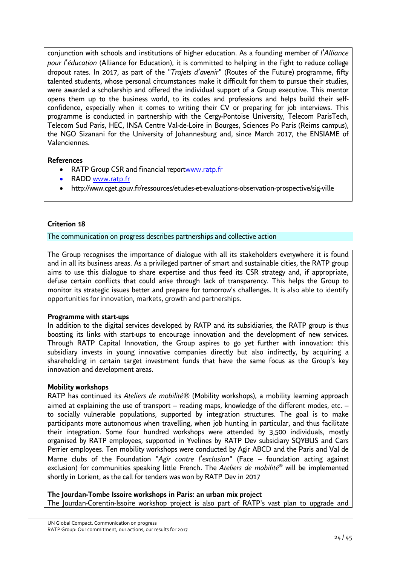conjunction with schools and institutions of higher education. As a founding member of *l*'*Alliance pour l*'*éducation* (Alliance for Education), it is committed to helping in the fight to reduce college dropout rates. In 2017, as part of the "*Trajets d*'*avenir*" (Routes of the Future) programme, fifty talented students, whose personal circumstances make it difficult for them to pursue their studies, were awarded a scholarship and offered the individual support of a Group executive. This mentor opens them up to the business world, to its codes and professions and helps build their selfconfidence, especially when it comes to writing their CV or preparing for job interviews. This programme is conducted in partnership with the Cergy-Pontoise University, Telecom ParisTech, Telecom Sud Paris, HEC, INSA Centre Val-de-Loire in Bourges, Sciences Po Paris (Reims campus), the NGO Sizanani for the University of Johannesburg and, since March 2017, the ENSIAME of Valenciennes.

### **References**

- RATP Group CSR and financial reportwww.ratp.fr
- RADD [www.ratp.fr](http://www.ratp.fr/)
- <http://www.cget.gouv.fr/ressources/etudes-et-evaluations-observation-prospective/sig-ville>

### **Criterion 18**

#### The communication on progress describes partnerships and collective action

The Group recognises the importance of dialogue with all its stakeholders everywhere it is found and in all its business areas. As a privileged partner of smart and sustainable cities, the RATP group aims to use this dialogue to share expertise and thus feed its CSR strategy and, if appropriate, defuse certain conflicts that could arise through lack of transparency. This helps the Group to monitor its strategic issues better and prepare for tomorrow's challenges. It is also able to identify opportunities for innovation, markets, growth and partnerships.

### **Programme with start-ups**

In addition to the digital services developed by RATP and its subsidiaries, the RATP group is thus boosting its links with start-ups to encourage innovation and the development of new services. Through RATP Capital Innovation, the Group aspires to go yet further with innovation: this subsidiary invests in young innovative companies directly but also indirectly, by acquiring a shareholding in certain target investment funds that have the same focus as the Group's key innovation and development areas.

### **Mobility workshops**

RATP has continued its *Ateliers de mobilité*® (Mobility workshops), a mobility learning approach aimed at explaining the use of transport – reading maps, knowledge of the different modes, etc. – to socially vulnerable populations, supported by integration structures. The goal is to make participants more autonomous when travelling, when job hunting in particular, and thus facilitate their integration. Some four hundred workshops were attended by 3,500 individuals, mostly organised by RATP employees, supported in Yvelines by RATP Dev subsidiary SQYBUS and Cars Perrier employees. Ten mobility workshops were conducted by Agir ABCD and the Paris and Val de Marne clubs of the Foundation "*Agir contre l*'*exclusion*" (Face – foundation acting against exclusion) for communities speaking little French. The *Ateliers de mobilité*® will be implemented shortly in Lorient, as the call for tenders was won by RATP Dev in 2017

#### **The Jourdan-Tombe Issoire workshops in Paris: an urban mix project**

The Jourdan-Corentin-Issoire workshop project is also part of RATP's vast plan to upgrade and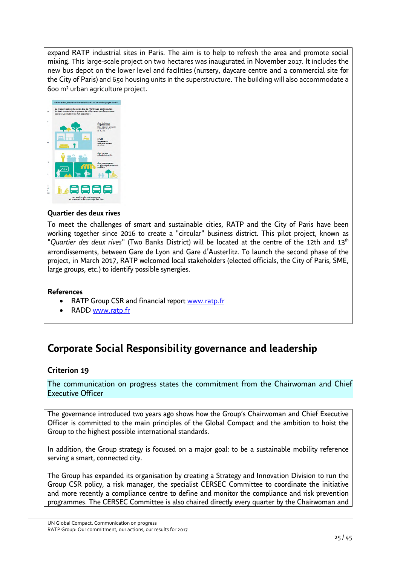expand RATP industrial sites in Paris. The aim is to help to refresh the area and promote social mixing. This large-scale project on two hectares was inaugurated in November 2017. It includes the new bus depot on the lower level and facilities (nursery, daycare centre and a commercial site for the City of Paris) and 650 housing units in the superstructure. The building will also accommodate a 600 m² urban agriculture project.



### **Quartier des deux rives**

To meet the challenges of smart and sustainable cities, RATP and the City of Paris have been working together since 2016 to create a "circular" business district. This pilot project, known as "*Quartier des deux rives*" (Two Banks District) will be located at the centre of the 12th and 13th arrondissements, between Gare de Lyon and Gare d'Austerlitz. To launch the second phase of the project, in March 2017, RATP welcomed local stakeholders (elected officials, the City of Paris, SME, large groups, etc.) to identify possible synergies.

### **References**

- RATP Group CSR and financial report www.ratp.fr
- RADD www.ratp.fr

# <span id="page-24-0"></span>**Corporate Social Responsibility governance and leadership**

### **Criterion 19**

The communication on progress states the commitment from the Chairwoman and Chief Executive Officer

The governance introduced two years ago shows how the Group's Chairwoman and Chief Executive Officer is committed to the main principles of the Global Compact and the ambition to hoist the Group to the highest possible international standards.

In addition, the Group strategy is focused on a major goal: to be a sustainable mobility reference serving a smart, connected city.

The Group has expanded its organisation by creating a Strategy and Innovation Division to run the Group CSR policy, a risk manager, the specialist CERSEC Committee to coordinate the initiative and more recently a compliance centre to define and monitor the compliance and risk prevention programmes. The CERSEC Committee is also chaired directly every quarter by the Chairwoman and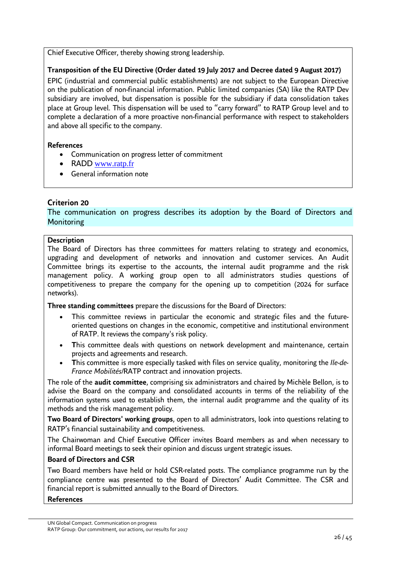Chief Executive Officer, thereby showing strong leadership.

### **Transposition of the EU Directive (Order dated 19 July 2017 and Decree dated 9 August 2017)**

EPIC (industrial and commercial public establishments) are not subject to the European Directive on the publication of non-financial information. Public limited companies (SA) like the RATP Dev subsidiary are involved, but dispensation is possible for the subsidiary if data consolidation takes place at Group level. This dispensation will be used to "carry forward" to RATP Group level and to complete a declaration of a more proactive non-financial performance with respect to stakeholders and above all specific to the company.

### **References**

- Communication on progress letter of commitment
- RADD www.ratp.fr
- General information note

### **Criterion 20**

The communication on progress describes its adoption by the Board of Directors and **Monitoring** 

### **Description**

The Board of Directors has three committees for matters relating to strategy and economics, upgrading and development of networks and innovation and customer services. An Audit Committee brings its expertise to the accounts, the internal audit programme and the risk management policy. A working group open to all administrators studies questions of competitiveness to prepare the company for the opening up to competition (2024 for surface networks).

**Three standing committees** prepare the discussions for the Board of Directors:

- This committee reviews in particular the economic and strategic files and the futureoriented questions on changes in the economic, competitive and institutional environment of RATP. It reviews the company's risk policy.
- This committee deals with questions on network development and maintenance, certain projects and agreements and research.
- **T**his committee is more especially tasked with files on service quality, monitoring the *Ile-de-France Mobilités*/RATP contract and innovation projects.

The role of the **audit committee**, comprising six administrators and chaired by Michèle Bellon, is to advise the Board on the company and consolidated accounts in terms of the reliability of the information systems used to establish them, the internal audit programme and the quality of its methods and the risk management policy.

**Two Board of Directors' working groups**, open to all administrators, look into questions relating to RATP's financial sustainability and competitiveness.

The Chairwoman and Chief Executive Officer invites Board members as and when necessary to informal Board meetings to seek their opinion and discuss urgent strategic issues.

### **Board of Directors and CSR**

Two Board members have held or hold CSR-related posts. The compliance programme run by the compliance centre was presented to the Board of Directors' Audit Committee. The CSR and financial report is submitted annually to the Board of Directors.

### **References**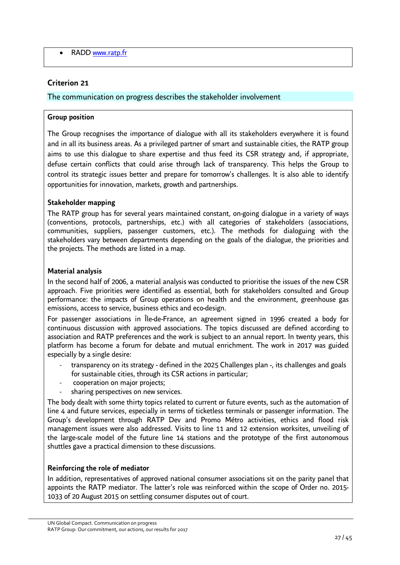• RADD www.ratp.fr

### **Criterion 21**

### The communication on progress describes the stakeholder involvement

#### **Group position**

The Group recognises the importance of dialogue with all its stakeholders everywhere it is found and in all its business areas. As a privileged partner of smart and sustainable cities, the RATP group aims to use this dialogue to share expertise and thus feed its CSR strategy and, if appropriate, defuse certain conflicts that could arise through lack of transparency. This helps the Group to control its strategic issues better and prepare for tomorrow's challenges. It is also able to identify opportunities for innovation, markets, growth and partnerships.

#### **Stakeholder mapping**

The RATP group has for several years maintained constant, on-going dialogue in a variety of ways (conventions, protocols, partnerships, etc.) with all categories of stakeholders (associations, communities, suppliers, passenger customers, etc.). The methods for dialoguing with the stakeholders vary between departments depending on the goals of the dialogue, the priorities and the projects. The methods are listed in a map.

#### **Material analysis**

In the second half of 2006, a material analysis was conducted to prioritise the issues of the new CSR approach. Five priorities were identified as essential, both for stakeholders consulted and Group performance: the impacts of Group operations on health and the environment, greenhouse gas emissions, access to service, business ethics and eco-design.

For passenger associations in Île-de-France, an agreement signed in 1996 created a body for continuous discussion with approved associations. The topics discussed are defined according to association and RATP preferences and the work is subject to an annual report. In twenty years, this platform has become a forum for debate and mutual enrichment. The work in 2017 was guided especially by a single desire:

- transparency on its strategy defined in the 2025 Challenges plan -, its challenges and goals for sustainable cities, through its CSR actions in particular;
- cooperation on major projects;
- sharing perspectives on new services.

The body dealt with some thirty topics related to current or future events, such as the automation of line 4 and future services, especially in terms of ticketless terminals or passenger information. The Group's development through RATP Dev and Promo Métro activities, ethics and flood risk management issues were also addressed. Visits to line 11 and 12 extension worksites, unveiling of the large-scale model of the future line 14 stations and the prototype of the first autonomous shuttles gave a practical dimension to these discussions.

### **Reinforcing the role of mediator**

In addition, representatives of approved national consumer associations sit on the parity panel that appoints the RATP mediator. The latter's role was reinforced within the scope of Order no. 2015- 1033 of 20 August 2015 on settling consumer disputes out of court.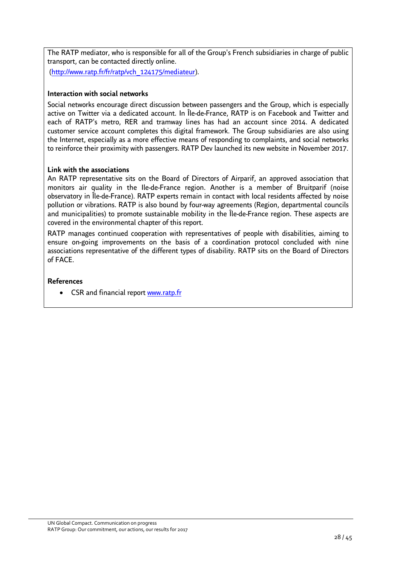The RATP mediator, who is responsible for all of the Group's French subsidiaries in charge of public transport, can be contacted directly online.

([http://www.ratp.fr/fr/ratp/vch\\_124175/mediateur\)](http://www.ratp.fr/fr/ratp/vch_124175/mediateur).

### **Interaction with social networks**

Social networks encourage direct discussion between passengers and the Group, which is especially active on Twitter via a dedicated account. In Île-de-France, RATP is on Facebook and Twitter and each of RATP's metro, RER and tramway lines has had an account since 2014. A dedicated customer service account completes this digital framework. The Group subsidiaries are also using the Internet, especially as a more effective means of responding to complaints, and social networks to reinforce their proximity with passengers. RATP Dev launched its new website in November 2017.

### **Link with the associations**

An RATP representative sits on the Board of Directors of Airparif, an approved association that monitors air quality in the Ile-de-France region. Another is a member of Bruitparif (noise observatory in Île-de-France). RATP experts remain in contact with local residents affected by noise pollution or vibrations. RATP is also bound by four-way agreements (Region, departmental councils and municipalities) to promote sustainable mobility in the Île-de-France region. These aspects are covered in the environmental chapter of this report.

RATP manages continued cooperation with representatives of people with disabilities, aiming to ensure on-going improvements on the basis of a coordination protocol concluded with nine associations representative of the different types of disability. RATP sits on the Board of Directors of FACE.

### **References**

• CSR and financial report www.ratp.fr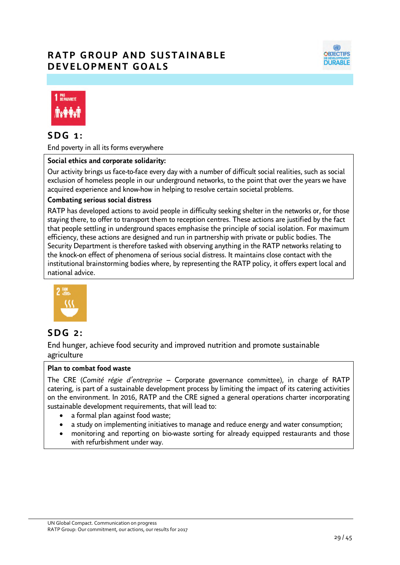# **RATP GROUP AND SUSTAINABLE D E V E L O P M E N T G O A L S**





### **S D G 1 :**

End poverty in all its forms everywhere

### **Social ethics and corporate solidarity:**

Our activity brings us face-to-face every day with a number of difficult social realities, such as social exclusion of homeless people in our underground networks, to the point that over the years we have acquired experience and know-how in helping to resolve certain societal problems.

#### **Combating serious social distress**

RATP has developed actions to avoid people in difficulty seeking shelter in the networks or, for those staying there, to offer to transport them to reception centres. These actions are justified by the fact that people settling in underground spaces emphasise the principle of social isolation. For maximum efficiency, these actions are designed and run in partnership with private or public bodies. The Security Department is therefore tasked with observing anything in the RATP networks relating to the knock-on effect of phenomena of serious social distress. It maintains close contact with the institutional brainstorming bodies where, by representing the RATP policy, it offers expert local and national advice.



### **S D G 2 :**

End hunger, achieve food security and improved nutrition and promote sustainable agriculture

### **Plan to combat food waste**

The CRE (*Comité régie d'entreprise* – Corporate governance committee), in charge of RATP catering, is part of a sustainable development process by limiting the impact of its catering activities on the environment. In 2016, RATP and the CRE signed a general operations charter incorporating sustainable development requirements, that will lead to:

- a formal plan against food waste;
- a study on implementing initiatives to manage and reduce energy and water consumption;
- monitoring and reporting on bio-waste sorting for already equipped restaurants and those with refurbishment under way.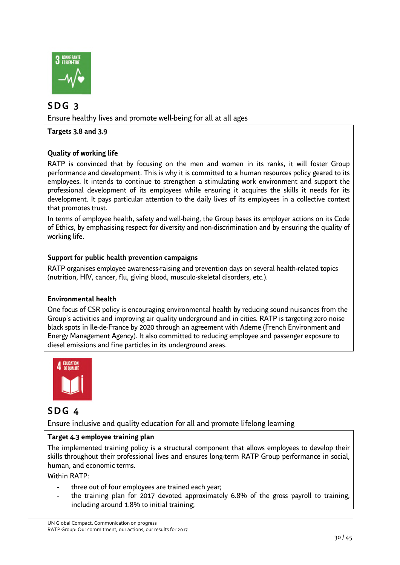

# **S D G 3**

Ensure healthy lives and promote well-being for all at all ages

**Targets 3.8 and 3.9** 

### **Quality of working life**

RATP is convinced that by focusing on the men and women in its ranks, it will foster Group performance and development. This is why it is committed to a human resources policy geared to its employees. It intends to continue to strengthen a stimulating work environment and support the professional development of its employees while ensuring it acquires the skills it needs for its development. It pays particular attention to the daily lives of its employees in a collective context that promotes trust.

In terms of employee health, safety and well-being, the Group bases its employer actions on its Code of Ethics, by emphasising respect for diversity and non-discrimination and by ensuring the quality of working life.

### **Support for public health prevention campaigns**

RATP organises employee awareness-raising and prevention days on several health-related topics (nutrition, HIV, cancer, flu, giving blood, musculo-skeletal disorders, etc.).

### **Environmental health**

One focus of CSR policy is encouraging environmental health by reducing sound nuisances from the Group's activities and improving air quality underground and in cities. RATP is targeting zero noise black spots in Ile-de-France by 2020 through an agreement with Ademe (French Environment and Energy Management Agency). It also committed to reducing employee and passenger exposure to diesel emissions and fine particles in its underground areas.



### **S D G 4**

Ensure inclusive and quality education for all and promote lifelong learning

### **Target 4.3 employee training plan**

The implemented training policy is a structural component that allows employees to develop their skills throughout their professional lives and ensures long-term RATP Group performance in social, human, and economic terms.

Within RATP:

- three out of four employees are trained each year;
- the training plan for 2017 devoted approximately 6.8% of the gross payroll to training. including around 1.8% to initial training;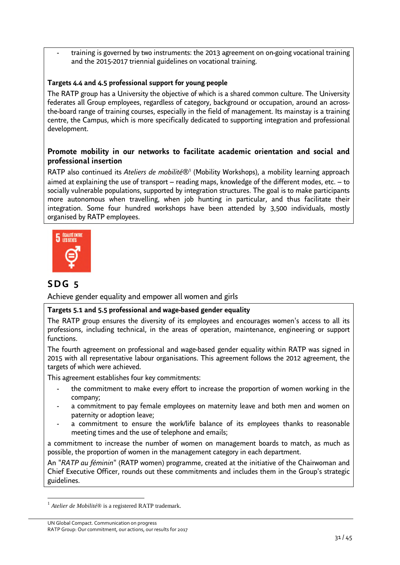- training is governed by two instruments: the 2013 agreement on on-going vocational training and the 2015-2017 triennial guidelines on vocational training.

### **Targets 4.4 and 4.5 professional support for young people**

The RATP group has a University the objective of which is a shared common culture. The University federates all Group employees, regardless of category, background or occupation, around an acrossthe-board range of training courses, especially in the field of management. Its mainstay is a training centre, the Campus, which is more specifically dedicated to supporting integration and professional development.

### **Promote mobility in our networks to facilitate academic orientation and social and professional insertion**

RATP also continued its Ateliers de mobilité<sup>®1</sup> (Mobility Workshops), a mobility learning approach aimed at explaining the use of transport – rea[din](#page-30-0)g maps, knowledge of the different modes, etc. – to socially vulnerable populations, supported by integration structures. The goal is to make participants more autonomous when travelling, when job hunting in particular, and thus facilitate their integration. Some four hundred workshops have been attended by 3,500 individuals, mostly organised by RATP employees.



# **S D G 5**

Achieve gender equality and empower all women and girls

### **Targets 5.1 and 5.5 professional and wage-based gender equality**

The RATP group ensures the diversity of its employees and encourages women's access to all its professions, including technical, in the areas of operation, maintenance, engineering or support functions.

The fourth agreement on professional and wage-based gender equality within RATP was signed in 2015 with all representative labour organisations. This agreement follows the 2012 agreement, the targets of which were achieved.

This agreement establishes four key commitments:

- the commitment to make every effort to increase the proportion of women working in the company;
- a commitment to pay female employees on maternity leave and both men and women on paternity or adoption leave;
- a commitment to ensure the work/life balance of its employees thanks to reasonable meeting times and the use of telephone and emails;

a commitment to increase the number of women on management boards to match, as much as possible, the proportion of women in the management category in each department.

An "*RATP au féminin*" (RATP women) programme, created at the initiative of the Chairwoman and Chief Executive Officer, rounds out these commitments and includes them in the Group's strategic guidelines.

<span id="page-30-0"></span><sup>1</sup> *Atelier de Mobilité*® is a registered RATP trademark.

UN Global Compact. Communication on progress RATP Group: Our commitment, our actions, our results for 2017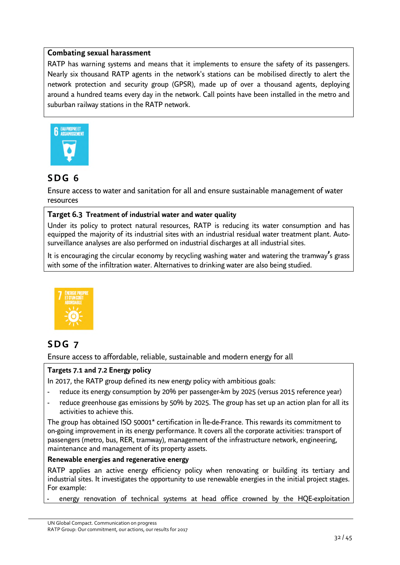### **Combating sexual harassment**

RATP has warning systems and means that it implements to ensure the safety of its passengers. Nearly six thousand RATP agents in the network's stations can be mobilised directly to alert the network protection and security group (GPSR), made up of over a thousand agents, deploying around a hundred teams every day in the network. Call points have been installed in the metro and suburban railway stations in the RATP network.



# **S D G 6**

Ensure access to water and sanitation for all and ensure sustainable management of water resources

### **Target 6.3 Treatment of industrial water and water quality**

Under its policy to protect natural resources, RATP is reducing its water consumption and has equipped the majority of its industrial sites with an industrial residual water treatment plant. Autosurveillance analyses are also performed on industrial discharges at all industrial sites.

It is encouraging the circular economy by recycling washing water and watering the tramway**'**s grass with some of the infiltration water. Alternatives to drinking water are also being studied.



# **S D G 7**

Ensure access to affordable, reliable, sustainable and modern energy for all

### **Targets 7.1 and 7.2 Energy policy**

In 2017, the RATP group defined its new energy policy with ambitious goals:

- reduce its energy consumption by 20% per passenger-km by 2025 (versus 2015 reference year)
- reduce greenhouse gas emissions by 50% by 2025. The group has set up an action plan for all its activities to achieve this.

The group has obtained ISO 50001\* certification in Île-de-France. This rewards its commitment to on-going improvement in its energy performance. It covers all the corporate activities: transport of passengers (metro, bus, RER, tramway), management of the infrastructure network, engineering, maintenance and management of its property assets.

### **Renewable energies and regenerative energy**

RATP applies an active energy efficiency policy when renovating or building its tertiary and industrial sites. It investigates the opportunity to use renewable energies in the initial project stages. For example:

energy renovation of technical systems at head office crowned by the HQE-exploitation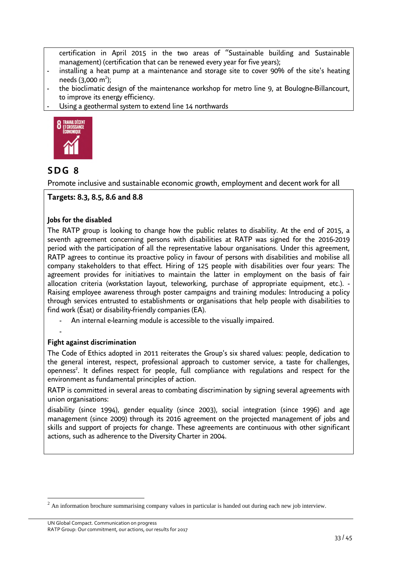certification in April 2015 in the two areas of "Sustainable building and Sustainable management) (certification that can be renewed every year for five years);

- installing a heat pump at a maintenance and storage site to cover 90% of the site's heating needs  $(3,000 \text{ m}^2)$ ;
- the bioclimatic design of the maintenance workshop for metro line 9, at Boulogne-Billancourt, to improve its energy efficiency.
- Using a geothermal system to extend line 14 northwards



# **S D G 8**

Promote inclusive and sustainable economic growth, employment and decent work for all

### **Targets: 8.3, 8.5, 8.6 and 8.8**

### **Jobs for the disabled**

The RATP group is looking to change how the public relates to disability. At the end of 2015, a seventh agreement concerning persons with disabilities at RATP was signed for the 2016-2019 period with the participation of all the representative labour organisations. Under this agreement, RATP agrees to continue its proactive policy in favour of persons with disabilities and mobilise all company stakeholders to that effect. Hiring of 125 people with disabilities over four years: The agreement provides for initiatives to maintain the latter in employment on the basis of fair allocation criteria (workstation layout, teleworking, purchase of appropriate equipment, etc.). - Raising employee awareness through poster campaigns and training modules: Introducing a policy through services entrusted to establishments or organisations that help people with disabilities to find work (Ésat) or disability-friendly companies (EA).

- An internal e-learning module is accessible to the visually impaired.
- -

### **Fight against discrimination**

The Code of Ethics adopted in 2011 reiterates the Group's six shared values: people, dedication to the general interest, respect, professional approach to customer service, a taste for challenges, openness<sup>2</sup>[.](#page-32-0) It defines respect for people, full compliance with regulations and respect for the environment as fundamental principles of action.

RATP is committed in several areas to combating discrimination by signing several agreements with union organisations:

disability (since 1994), gender equality (since 2003), social integration (since 1996) and age management (since 2009) through its 2016 agreement on the projected management of jobs and skills and support of projects for change. These agreements are continuous with other significant actions, such as adherence to the Diversity Charter in 2004.

<span id="page-32-0"></span><sup>&</sup>lt;sup>2</sup> An information brochure summarising company values in particular is handed out during each new job interview.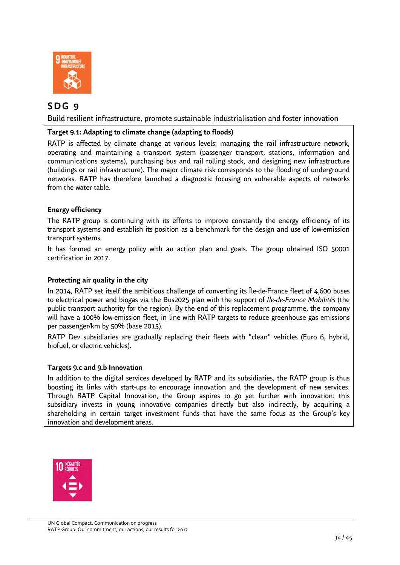

# **S D G 9**

Build resilient infrastructure, promote sustainable industrialisation and foster innovation

### **Target 9.1: Adapting to climate change (adapting to floods)**

RATP is affected by climate change at various levels: managing the rail infrastructure network, operating and maintaining a transport system (passenger transport, stations, information and communications systems), purchasing bus and rail rolling stock, and designing new infrastructure (buildings or rail infrastructure). The major climate risk corresponds to the flooding of underground networks. RATP has therefore launched a diagnostic focusing on vulnerable aspects of networks from the water table.

### **Energy efficiency**

The RATP group is continuing with its efforts to improve constantly the energy efficiency of its transport systems and establish its position as a benchmark for the design and use of low-emission transport systems.

It has formed an energy policy with an action plan and goals. The group obtained ISO 50001 certification in 2017.

### **Protecting air quality in the city**

In 2014, RATP set itself the ambitious challenge of converting its Île-de-France fleet of 4,600 buses to electrical power and biogas via the Bus2025 plan with the support of *Ile-de-France Mobilités* (the public transport authority for the region). By the end of this replacement programme, the company will have a 100% low-emission fleet, in line with RATP targets to reduce greenhouse gas emissions per passenger/km by 50% (base 2015).

RATP Dev subsidiaries are gradually replacing their fleets with "clean" vehicles (Euro 6, hybrid, biofuel, or electric vehicles).

### **Targets 9.c and 9.b Innovation**

In addition to the digital services developed by RATP and its subsidiaries, the RATP group is thus boosting its links with start-ups to encourage innovation and the development of new services. Through RATP Capital Innovation, the Group aspires to go yet further with innovation: this subsidiary invests in young innovative companies directly but also indirectly, by acquiring a shareholding in certain target investment funds that have the same focus as the Group's key innovation and development areas.

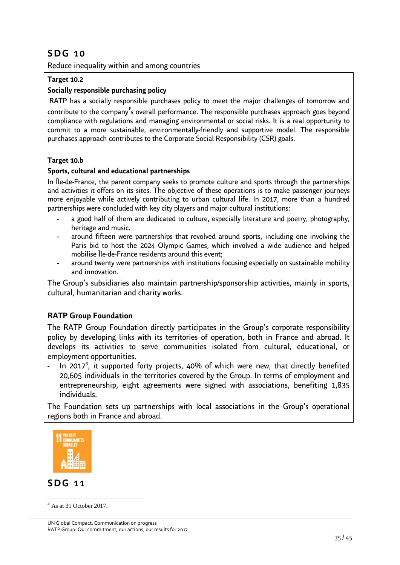# **S D G 1 0**

Reduce inequality within and among countries

### **Target 10.2**

### **Socially responsible purchasing policy**

 RATP has a socially responsible purchases policy to meet the major challenges of tomorrow and contribute to the company**'**s overall performance. The responsible purchases approach goes beyond compliance with regulations and managing environmental or social risks. It is a real opportunity to commit to a more sustainable, environmentally-friendly and supportive model. The responsible purchases approach contributes to the Corporate Social Responsibility (CSR) goals.

### **Target 10.b**

### **Sports, cultural and educational partnerships**

In Île-de-France, the parent company seeks to promote culture and sports through the partnerships and activities it offers on its sites. The objective of these operations is to make passenger journeys more enjoyable while actively contributing to urban cultural life. In 2017, more than a hundred partnerships were concluded with key city players and major cultural institutions:

- a good half of them are dedicated to culture, especially literature and poetry, photography, heritage and music.
- around fifteen were partnerships that revolved around sports, including one involving the Paris bid to host the 2024 Olympic Games, which involved a wide audience and helped mobilise Île-de-France residents around this event;
- around twenty were partnerships with institutions focusing especially on sustainable mobility and innovation.

The Group's subsidiaries also maintain partnership/sponsorship activities, mainly in sports, cultural, humanitarian and charity works.

### **RATP Group Foundation**

The RATP Group Foundation directly participates in the Group's corporate responsibility policy by developing links with its territories of operation, both in France and abroad. It develops its activities to serve communities isolated from cultural, educational, or employment opportunities.

- In 2017<sup>3</sup>[,](#page-34-0) it supported forty projects, 40% of which were new, that directly benefited 20,605 individuals in the territories covered by the Group. In terms of employment and entrepreneurship, eight agreements were signed with associations, benefiting 1,835 individuals.

The Foundation sets up partnerships with local associations in the Group's operational regions both in France and abroad.



### **S D G 1 1**

<span id="page-34-0"></span> $3$  As at 31 October 2017.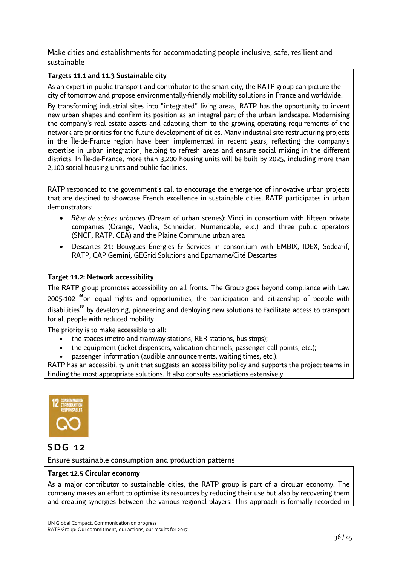Make cities and establishments for accommodating people inclusive, safe, resilient and sustainable

### **Targets 11.1 and 11.3 Sustainable city**

As an expert in public transport and contributor to the smart city, the RATP group can picture the city of tomorrow and propose environmentally-friendly mobility solutions in France and worldwide.

By transforming industrial sites into "integrated" living areas, RATP has the opportunity to invent new urban shapes and confirm its position as an integral part of the urban landscape. Modernising the company's real estate assets and adapting them to the growing operating requirements of the network are priorities for the future development of cities. Many industrial site restructuring projects in the Île-de-France region have been implemented in recent years, reflecting the company's expertise in urban integration, helping to refresh areas and ensure social mixing in the different districts. In Île-de-France, more than 3,200 housing units will be built by 2025, including more than 2,100 social housing units and public facilities.

RATP responded to the government's call to encourage the emergence of innovative urban projects that are destined to showcase French excellence in sustainable cities. RATP participates in urban demonstrators:

- *Rêve de scènes urbaines* (Dream of urban scenes): Vinci in consortium with fifteen private companies (Orange, Veolia, Schneider, Numericable, etc.) and three public operators (SNCF, RATP, CEA) and the Plaine Commune urban area
- Descartes 21**:** Bouygues Énergies & Services in consortium with EMBIX, IDEX, Sodearif, RATP, CAP Gemini, GEGrid Solutions and Epamarne/Cité Descartes

### **Target 11.2: Network accessibility**

The RATP group promotes accessibility on all fronts. The Group goes beyond compliance with Law 2005-102 **"**on equal rights and opportunities, the participation and citizenship of people with disabilities**"** by developing, pioneering and deploying new solutions to facilitate access to transport for all people with reduced mobility.

The priority is to make accessible to all:

- the spaces (metro and tramway stations, RER stations, bus stops);
- the equipment (ticket dispensers, validation channels, passenger call points, etc.);
- passenger information (audible announcements, waiting times, etc.).

RATP has an accessibility unit that suggests an accessibility policy and supports the project teams in finding the most appropriate solutions. It also consults associations extensively.



### **S D G 1 2**

Ensure sustainable consumption and production patterns

### **Target 12.5 Circular economy**

As a major contributor to sustainable cities, the RATP group is part of a circular economy. The company makes an effort to optimise its resources by reducing their use but also by recovering them and creating synergies between the various regional players. This approach is formally recorded in

UN Global Compact. Communication on progress RATP Group: Our commitment, our actions, our results for 2017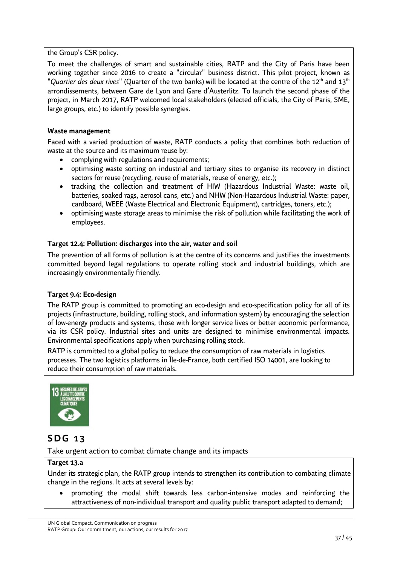the Group's CSR policy.

To meet the challenges of smart and sustainable cities, RATP and the City of Paris have been working together since 2016 to create a "circular" business district. This pilot project, known as "*Quartier des deux rives*" (Quarter of the two banks) will be located at the centre of the 12<sup>th</sup> and 13<sup>th</sup> arrondissements, between Gare de Lyon and Gare d'Austerlitz. To launch the second phase of the project, in March 2017, RATP welcomed local stakeholders (elected officials, the City of Paris, SME, large groups, etc.) to identify possible synergies.

### **Waste management**

Faced with a varied production of waste, RATP conducts a policy that combines both reduction of waste at the source and its maximum reuse by:

- complying with regulations and requirements;
- optimising waste sorting on industrial and tertiary sites to organise its recovery in distinct sectors for reuse (recycling, reuse of materials, reuse of energy, etc.);
- tracking the collection and treatment of HIW (Hazardous Industrial Waste: waste oil, batteries, soaked rags, aerosol cans, etc.) and NHW (Non-Hazardous Industrial Waste: paper, cardboard, WEEE (Waste Electrical and Electronic Equipment), cartridges, toners, etc.);
- optimising waste storage areas to minimise the risk of pollution while facilitating the work of employees.

### **Target 12.4: Pollution: discharges into the air, water and soil**

The prevention of all forms of pollution is at the centre of its concerns and justifies the investments committed beyond legal regulations to operate rolling stock and industrial buildings, which are increasingly environmentally friendly.

### **Target 9.4: Eco-design**

The RATP group is committed to promoting an eco-design and eco-specification policy for all of its projects (infrastructure, building, rolling stock, and information system) by encouraging the selection of low-energy products and systems, those with longer service lives or better economic performance, via its CSR policy. Industrial sites and units are designed to minimise environmental impacts. Environmental specifications apply when purchasing rolling stock.

RATP is committed to a global policy to reduce the consumption of raw materials in logistics processes. The two logistics platforms in Île-de-France, both certified ISO 14001, are looking to reduce their consumption of raw materials.



# **S D G 1 3**

Take urgent action to combat climate change and its impacts

### **Target 13.a**

Under its strategic plan, the RATP group intends to strengthen its contribution to combating climate change in the regions. It acts at several levels by:

• promoting the modal shift towards less carbon-intensive modes and reinforcing the attractiveness of non-individual transport and quality public transport adapted to demand;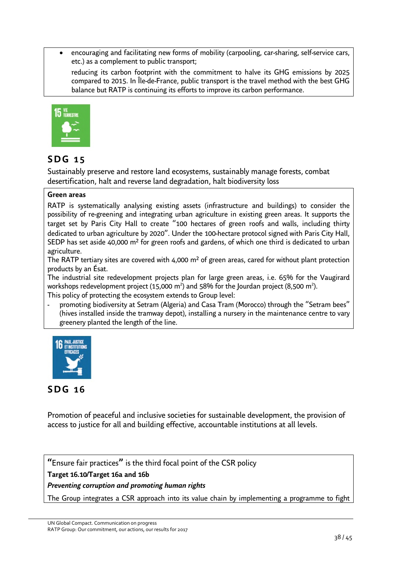• encouraging and facilitating new forms of mobility (carpooling, car-sharing, self-service cars, etc.) as a complement to public transport;

reducing its carbon footprint with the commitment to halve its GHG emissions by 2025 compared to 2015. In Île-de-France, public transport is the travel method with the best GHG balance but RATP is continuing its efforts to improve its carbon performance.



# **S D G 1 5**

Sustainably preserve and restore land ecosystems, sustainably manage forests, combat desertification, halt and reverse land degradation, halt biodiversity loss

### **Green areas**

RATP is systematically analysing existing assets (infrastructure and buildings) to consider the possibility of re-greening and integrating urban agriculture in existing green areas. It supports the target set by Paris City Hall to create "100 hectares of green roofs and walls, including thirty dedicated to urban agriculture by 2020". Under the 100-hectare protocol signed with Paris City Hall, SEDP has set aside 40,000 m<sup>2</sup> for green roofs and gardens, of which one third is dedicated to urban agriculture.

The RATP tertiary sites are covered with 4,000 m<sup>2</sup> of green areas, cared for without plant protection products by an Ésat.

The industrial site redevelopment projects plan for large green areas, i.e. 65% for the Vaugirard workshops redevelopment project (15,000 m<sup>2</sup>) and 58% for the Jourdan project (8,500 m<sup>2</sup>). This policy of protecting the ecosystem extends to Group level:

promoting biodiversity at Setram (Algeria) and Casa Tram (Morocco) through the "Setram bees" (hives installed inside the tramway depot), installing a nursery in the maintenance centre to vary greenery planted the length of the line.



# **S D G 1 6**

Promotion of peaceful and inclusive societies for sustainable development, the provision of access to justice for all and building effective, accountable institutions at all levels.

**"**Ensure fair practices**"** is the third focal point of the CSR policy

### **Target 16.10/Target 16a and 16b**

### <span id="page-37-0"></span>*Preventing corruption and promoting human rights*

The Group integrates a CSR approach into its value chain by implementing a programme to fight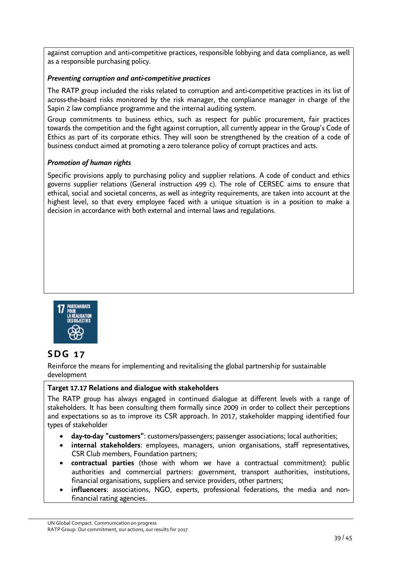against corruption and anti-competitive practices, responsible lobbying and data compliance, as well as a responsible purchasing policy.

### <span id="page-38-0"></span>*Preventing corruption and anti-competitive practices*

The RATP group included the risks related to corruption and anti-competitive practices in its list of across-the-board risks monitored by the risk manager, the compliance manager in charge of the Sapin 2 law compliance programme and the internal auditing system.

Group commitments to business ethics, such as respect for public procurement, fair practices towards the competition and the fight against corruption, all currently appear in the Group's Code of Ethics as part of its corporate ethics. They will soon be strengthened by the creation of a code of business conduct aimed at promoting a zero tolerance policy of corrupt practices and acts.

### <span id="page-38-1"></span>*Promotion of human rights*

Specific provisions apply to purchasing policy and supplier relations. A code of conduct and ethics governs supplier relations (General instruction 499 c). The role of CERSEC aims to ensure that ethical, social and societal concerns, as well as integrity requirements, are taken into account at the highest level, so that every employee faced with a unique situation is in a position to make a decision in accordance with both external and internal laws and regulations.



### **S D G 1 7**

Reinforce the means for implementing and revitalising the global partnership for sustainable development

### **Target 17.17 Relations and dialogue with stakeholders**

The RATP group has always engaged in continued dialogue at different levels with a range of stakeholders. It has been consulting them formally since 2009 in order to collect their perceptions and expectations so as to improve its CSR approach. In 2017, stakeholder mapping identified four types of stakeholder

- **day-to-day "customers"**: customers/passengers; passenger associations; local authorities;
- **internal stakeholders**: employees, managers, union organisations, staff representatives, CSR Club members, Foundation partners;
- **contractual parties** (those with whom we have a contractual commitment): public authorities and commercial partners: government, transport authorities, institutions, financial organisations, suppliers and service providers, other partners;
- **influencers**: associations, NGO, experts, professional federations, the media and nonfinancial rating agencies.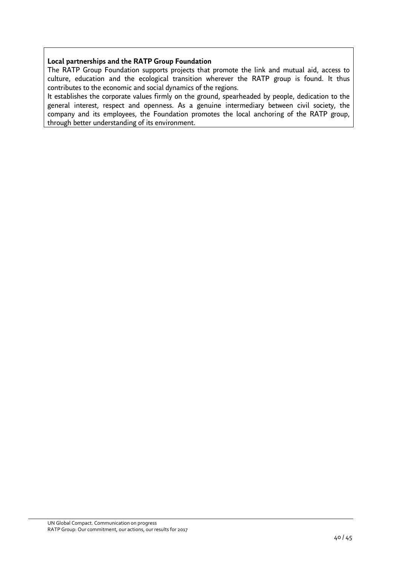### **Local partnerships and the RATP Group Foundation**

The RATP Group Foundation supports projects that promote the link and mutual aid, access to culture, education and the ecological transition wherever the RATP group is found. It thus contributes to the economic and social dynamics of the regions.

It establishes the corporate values firmly on the ground, spearheaded by people, dedication to the general interest, respect and openness. As a genuine intermediary between civil society, the company and its employees, the Foundation promotes the local anchoring of the RATP group, through better understanding of its environment.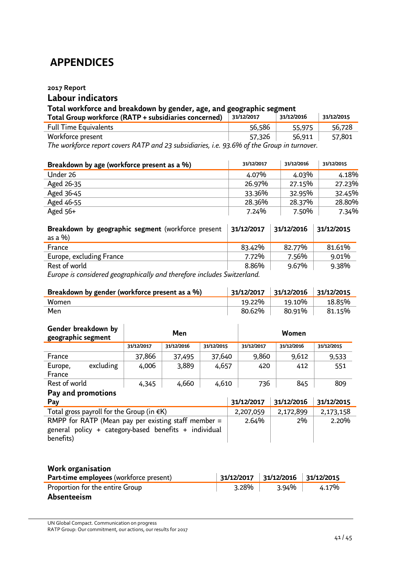# <span id="page-40-0"></span> **APPENDICES**

### <span id="page-40-1"></span>**2017 Report**

# **Labour indicators**

### **Total workforce and breakdown by gender, age, and geographic segment**

| Total Group workforce (RATP + subsidiaries concerned)                                         | 31/12/2017 | 31/12/2016 | 31/12/2015 |  |  |
|-----------------------------------------------------------------------------------------------|------------|------------|------------|--|--|
| <b>Full Time Equivalents</b>                                                                  | 56,586     | 55,975     | 56,728     |  |  |
| Workforce present                                                                             | 57,326     | 56.911     | 57,801     |  |  |
| The workforce report covers $RATP$ and 23 subsidiaries i.e. $93.6\%$ of the Group in turnover |            |            |            |  |  |

*The workforce report covers RATP and 23 subsidiaries, i.e. 93.6% of the Group in turnover.* 

| Breakdown by age (workforce present as a %) | 31/12/2017 | 31/12/2016 | 31/12/2015 |
|---------------------------------------------|------------|------------|------------|
| Under 26                                    | 4.07%      | 4.03%      | 4.18%      |
| Aged 26-35                                  | 26.97%     | 27.15%     | 27.23%     |
| Aged 36-45                                  | 33.36%     | 32.95%     | 32.45%     |
| Aged 46-55                                  | 28.36%     | 28.37%     | 28.80%     |
| Aged $56+$                                  | 7.24%      | 7.50%      | 7.34%      |

| Breakdown by geographic segment (workforce present<br>as a $\frac{9}{0}$ | 31/12/2017 | 31/12/2016 | 31/12/2015 |
|--------------------------------------------------------------------------|------------|------------|------------|
| France                                                                   | 83.42%     | 82.77%     | 81.61%     |
| Europe, excluding France                                                 | 7.72%      | 7.56%      | 9.01%      |
| Rest of world                                                            | 8.86%      | 9.67%      | 9.38%      |
|                                                                          |            |            |            |

*Europe is considered geographically and therefore includes Switzerland.* 

| Breakdown by gender (workforce present as a %) |        | $31/12/2017$ 31/12/2016 31/12/2015 |        |
|------------------------------------------------|--------|------------------------------------|--------|
| <b>Women</b>                                   | 19.22% | 19.10%                             | 18.85% |
| Men                                            | 80.62% | 80.91%                             | 81.15% |

| Gender breakdown by<br>geographic segment |           | Men        |            | Women      |            |            |            |
|-------------------------------------------|-----------|------------|------------|------------|------------|------------|------------|
|                                           |           | 31/12/2017 | 31/12/2016 | 31/12/2015 | 31/12/2017 | 31/12/2016 | 31/12/2015 |
| France                                    |           | 37,866     | 37,495     | 37,640     | 9,860      | 9,612      | 9,533      |
| Europe,                                   | excluding | 4,006      | 3,889      | 4,657      | 420        | 412        | 551        |
| France                                    |           |            |            |            |            |            |            |
| Rest of world                             |           | 4,345      | 4,660      | 4,610      | 736        | 845        | 809        |

# **Pay and promotions**

| Pay                                                   | 31/12/2017 | 31/12/2016 | 31/12/2015 |
|-------------------------------------------------------|------------|------------|------------|
| Total gross payroll for the Group (in $\notin K$ )    | 2,207,059  | 2,172,899  | 2,173,158  |
| RMPP for RATP (Mean pay per existing staff member $=$ | 2.64%      | 2%         | 2.20%      |
| general policy + category-based benefits + individual |            |            |            |
| benefits)                                             |            |            |            |

### **Work organisation**

| <b>Part-time employees</b> (workforce present) |       | $31/12/2017$ 31/12/2016 31/12/2015 |       |
|------------------------------------------------|-------|------------------------------------|-------|
| Proportion for the entire Group                | 3.28% | 3.94%                              | 4.17% |
| <b>Absenteeism</b>                             |       |                                    |       |

UN Global Compact. Communication on progress

RATP Group: Our commitment, our actions, our results for 2017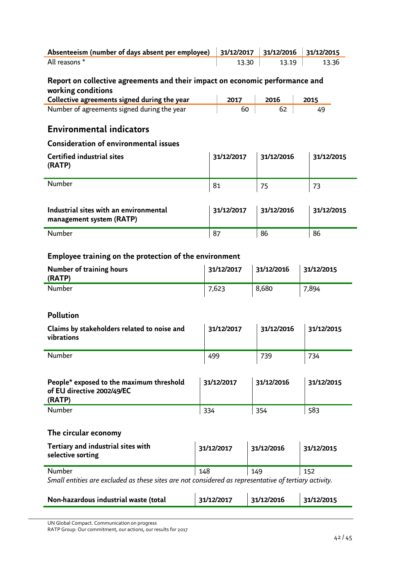| Absenteeism (number of days absent per employee) $\parallel$ 31/12/2017 $\parallel$ 31/12/2016 $\parallel$ 31/12/2015 |       |       |        |
|-----------------------------------------------------------------------------------------------------------------------|-------|-------|--------|
| All reasons *                                                                                                         | 13.30 | 13.19 | -13.36 |

### **Report on collective agreements and their impact on economic performance and working conditions**

| Collective agreements signed during the year | 2017 | 2016 | 2015 |
|----------------------------------------------|------|------|------|
| Number of agreements signed during the year  | 60   | -62  |      |

### **Environmental indicators**

### **Consideration of environmental issues**

| <b>Certified industrial sites</b><br>(RATP)                        | 31/12/2017 | 31/12/2016 | 31/12/2015 |
|--------------------------------------------------------------------|------------|------------|------------|
| <b>Number</b>                                                      | 81         | 75         | 73         |
| Industrial sites with an environmental<br>management system (RATP) | 31/12/2017 | 31/12/2016 | 31/12/2015 |
| <b>Number</b>                                                      | 87         | 86         | 86         |

### **Employee training on the protection of the environment**

| Number of training hours<br>(RATP) | 31/12/2017 | 31/12/2016 | 31/12/2015 |
|------------------------------------|------------|------------|------------|
| <b>Number</b>                      | 7,623      | 8,680      | 7,894      |

### **Pollution**

| Claims by stakeholders related to noise and<br>vibrations | 31/12/2017 | 31/12/2016 | 131/12/2015 |
|-----------------------------------------------------------|------------|------------|-------------|
| <b>Number</b>                                             | 499        | 739        | 734         |

| People* exposed to the maximum threshold<br>of EU directive 2002/49/EC<br>(RATP) | 31/12/2017 | 31/12/2016 | 31/12/2015 |
|----------------------------------------------------------------------------------|------------|------------|------------|
| <b>Number</b>                                                                    | 334        | 354        | 583        |

### **The circular economy**

| Tertiary and industrial sites with<br>selective sorting                                               | 31/12/2017 | 31/12/2016 | 31/12/2015 |
|-------------------------------------------------------------------------------------------------------|------------|------------|------------|
| <b>Number</b>                                                                                         | 148        | 149        | 152        |
| Small entities are excluded as these sites are not considered as representative of tertiary activity. |            |            |            |

| Non-hazardous industrial waste (total | 31/12/2017 | 31/12/2016 | 31/12/2015 |
|---------------------------------------|------------|------------|------------|
|                                       |            |            |            |

UN Global Compact. Communication on progress

RATP Group: Our commitment, our actions, our results for 2017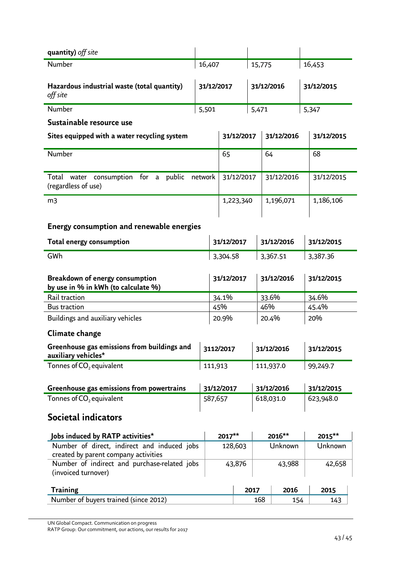| quantity) off site                                                                       |       |            |            |        |            |            |          |            |
|------------------------------------------------------------------------------------------|-------|------------|------------|--------|------------|------------|----------|------------|
| Number                                                                                   |       | 16,407     |            | 15,775 |            |            | 16,453   |            |
| Hazardous industrial waste (total quantity)<br>off site                                  |       | 31/12/2017 |            |        | 31/12/2016 |            |          | 31/12/2015 |
| Number                                                                                   | 5,501 |            |            | 5,471  |            |            | 5,347    |            |
| Sustainable resource use                                                                 |       |            |            |        |            |            |          |            |
| Sites equipped with a water recycling system                                             |       |            | 31/12/2017 |        |            | 31/12/2016 |          | 31/12/2015 |
| Number                                                                                   |       | 65         |            |        | 64         |            |          | 68         |
| Total water consumption for a public network<br>(regardless of use)                      |       |            | 31/12/2017 |        |            | 31/12/2016 |          | 31/12/2015 |
| m <sub>3</sub>                                                                           |       |            | 1,223,340  |        |            | 1,196,071  |          | 1,186,106  |
| Energy consumption and renewable energies<br><b>Total energy consumption</b>             |       |            | 31/12/2017 |        |            | 31/12/2016 |          | 31/12/2015 |
| GWh                                                                                      |       | 3,304.58   |            |        | 3,367.51   |            | 3,387.36 |            |
|                                                                                          |       |            |            |        |            |            |          |            |
| Breakdown of energy consumption<br>by use in % in kWh (to calculate %)                   |       |            | 31/12/2017 |        |            | 31/12/2016 |          | 31/12/2015 |
| Rail traction                                                                            |       | 34.1%      |            | 33.6%  |            | 34.6%      |          |            |
| <b>Bus traction</b>                                                                      |       | 45%        |            |        | 46%        |            |          | 45.4%      |
| Buildings and auxiliary vehicles                                                         |       | 20.9%      |            |        | 20.4%      |            | 20%      |            |
| Climate change                                                                           |       |            |            |        |            |            |          |            |
| Greenhouse gas emissions from buildings and $\parallel$ 3112/2017<br>auxiliary vehicles* |       |            |            |        | 31/12/2016 |            |          | 31/12/2015 |
| Tonnes of CO <sub>2</sub> equivalent                                                     |       | 111,913    |            |        | 111,937.0  |            |          | 99,249.7   |
|                                                                                          |       |            |            |        |            |            |          |            |
| Greenhouse gas emissions from powertrains                                                |       | 31/12/2017 |            |        | 31/12/2016 |            |          | 31/12/2015 |
| Tonnes of CO <sub>2</sub> equivalent                                                     |       | 587,657    |            |        | 618,031.0  |            |          | 623,948.0  |
| Societal indicators                                                                      |       |            |            |        |            |            |          |            |
| Jobs induced by RATP activities*                                                         |       |            | 2017**     |        | 2016**     |            |          | 2015**     |
| Number of direct, indirect and induced jobs<br>created by parent company activities      |       |            | 128,603    |        |            | Unknown    |          | Unknown    |
| Number of indirect and purchase-related jobs<br>(invoiced turnover)                      |       |            | 43,876     |        |            | 43,988     |          | 42,658     |
| <b>Training</b>                                                                          |       |            |            | 2017   |            | 2016       |          | 2015       |
| Number of buyers trained (since 2012)                                                    |       |            |            | 168    |            | 154        |          | 143        |

UN Global Compact. Communication on progress

RATP Group: Our commitment, our actions, our results for 2017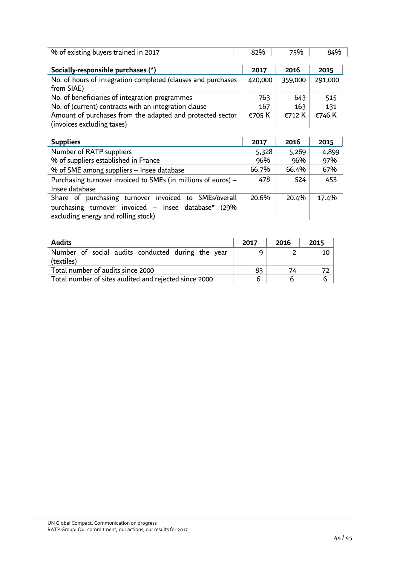| % of existing buyers trained in 2017                                                    | 82%     | 75%     | 84%     |
|-----------------------------------------------------------------------------------------|---------|---------|---------|
| Socially-responsible purchases (*)                                                      | 2017    | 2016    | 2015    |
| No. of hours of integration completed (clauses and purchases<br>from SIAE)              | 420,000 | 359,000 | 291,000 |
| No. of beneficiaries of integration programmes                                          | 763     | 643     | 515     |
| No. of (current) contracts with an integration clause                                   | 167     | 163     | 131     |
| Amount of purchases from the adapted and protected sector<br>(invoices excluding taxes) | €705 K  | €712 K  | €746 K  |

| <b>Suppliers</b>                                                                                                                                    | 2017  | 2016  | 2015  |
|-----------------------------------------------------------------------------------------------------------------------------------------------------|-------|-------|-------|
| Number of RATP suppliers                                                                                                                            | 5,328 | 5,269 | 4,899 |
| % of suppliers established in France                                                                                                                | 96%   | 96%   | 97%   |
| % of SME among suppliers – Insee database                                                                                                           | 66.7% | 66.4% | 67%   |
| Purchasing turnover invoiced to SMEs (in millions of euros) -<br>Insee database                                                                     | 478   | 524   | 453   |
| Share of purchasing turnover invoiced to SMEs/overall<br>purchasing turnover invoiced - Insee database* (29%<br>excluding energy and rolling stock) | 20.6% | 20.4% | 17.4% |

| <b>Audits</b>                                                   | 2017 | 2016 | 2015 |
|-----------------------------------------------------------------|------|------|------|
| Number of social audits conducted during the year<br>(textiles) |      |      | 10   |
| Total number of audits since 2000                               | 83   | 74   |      |
| Total number of sites audited and rejected since 2000           |      | 6    | 6    |